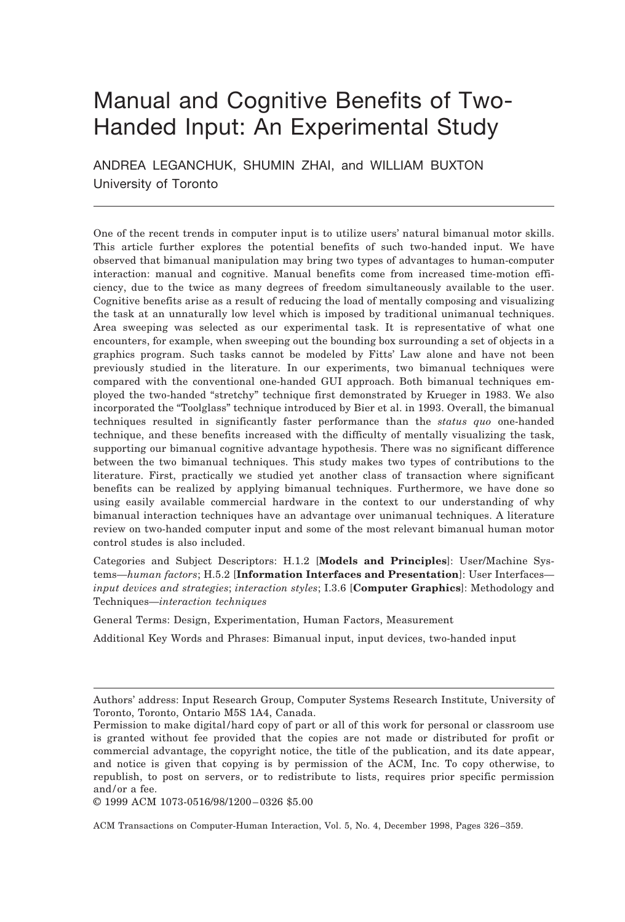# Manual and Cognitive Benefits of Two-Handed Input: An Experimental Study

ANDREA LEGANCHUK, SHUMIN ZHAI, and WILLIAM BUXTON University of Toronto

One of the recent trends in computer input is to utilize users' natural bimanual motor skills. This article further explores the potential benefits of such two-handed input. We have observed that bimanual manipulation may bring two types of advantages to human-computer interaction: manual and cognitive. Manual benefits come from increased time-motion efficiency, due to the twice as many degrees of freedom simultaneously available to the user. Cognitive benefits arise as a result of reducing the load of mentally composing and visualizing the task at an unnaturally low level which is imposed by traditional unimanual techniques. Area sweeping was selected as our experimental task. It is representative of what one encounters, for example, when sweeping out the bounding box surrounding a set of objects in a graphics program. Such tasks cannot be modeled by Fitts' Law alone and have not been previously studied in the literature. In our experiments, two bimanual techniques were compared with the conventional one-handed GUI approach. Both bimanual techniques employed the two-handed "stretchy" technique first demonstrated by Krueger in 1983. We also incorporated the "Toolglass" technique introduced by Bier et al. in 1993. Overall, the bimanual techniques resulted in significantly faster performance than the *status quo* one-handed technique, and these benefits increased with the difficulty of mentally visualizing the task, supporting our bimanual cognitive advantage hypothesis. There was no significant difference between the two bimanual techniques. This study makes two types of contributions to the literature. First, practically we studied yet another class of transaction where significant benefits can be realized by applying bimanual techniques. Furthermore, we have done so using easily available commercial hardware in the context to our understanding of why bimanual interaction techniques have an advantage over unimanual techniques. A literature review on two-handed computer input and some of the most relevant bimanual human motor control studes is also included.

Categories and Subject Descriptors: H.1.2 [**Models and Principles**]: User/Machine Systems—*human factors*; H.5.2 [**Information Interfaces and Presentation**]: User Interfaces *input devices and strategies*; *interaction styles*; I.3.6 [**Computer Graphics**]: Methodology and Techniques—*interaction techniques*

General Terms: Design, Experimentation, Human Factors, Measurement

Additional Key Words and Phrases: Bimanual input, input devices, two-handed input

Authors' address: Input Research Group, Computer Systems Research Institute, University of Toronto, Toronto, Ontario M5S 1A4, Canada.

Permission to make digital/hard copy of part or all of this work for personal or classroom use is granted without fee provided that the copies are not made or distributed for profit or commercial advantage, the copyright notice, the title of the publication, and its date appear, and notice is given that copying is by permission of the ACM, Inc. To copy otherwise, to republish, to post on servers, or to redistribute to lists, requires prior specific permission and/or a fee.

<sup>© 1999</sup> ACM 1073-0516/98/1200–0326 \$5.00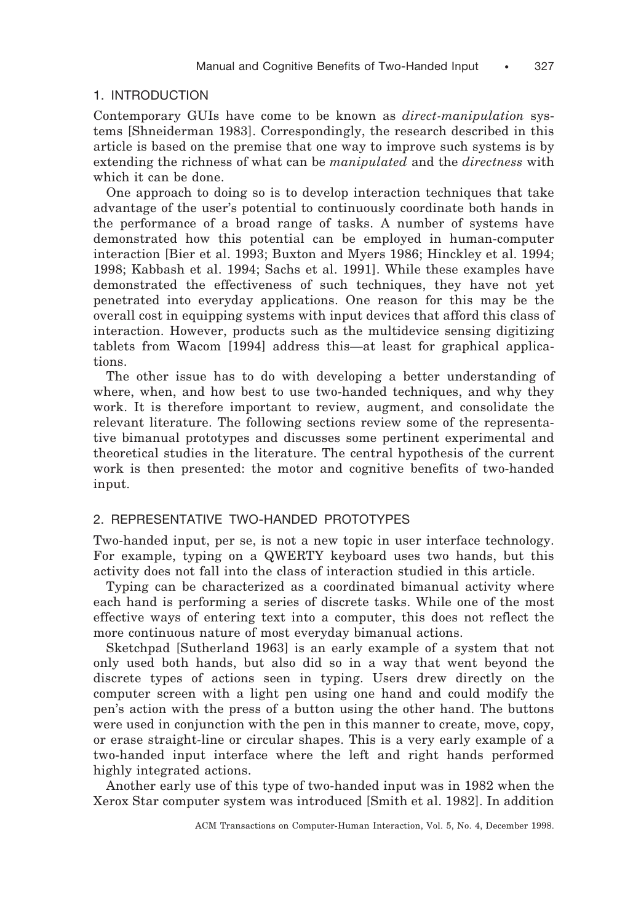### 1. INTRODUCTION

Contemporary GUIs have come to be known as *direct-manipulation* systems [Shneiderman 1983]. Correspondingly, the research described in this article is based on the premise that one way to improve such systems is by extending the richness of what can be *manipulated* and the *directness* with which it can be done.

One approach to doing so is to develop interaction techniques that take advantage of the user's potential to continuously coordinate both hands in the performance of a broad range of tasks. A number of systems have demonstrated how this potential can be employed in human-computer interaction [Bier et al. 1993; Buxton and Myers 1986; Hinckley et al. 1994; 1998; Kabbash et al. 1994; Sachs et al. 1991]. While these examples have demonstrated the effectiveness of such techniques, they have not yet penetrated into everyday applications. One reason for this may be the overall cost in equipping systems with input devices that afford this class of interaction. However, products such as the multidevice sensing digitizing tablets from Wacom [1994] address this—at least for graphical applications.

The other issue has to do with developing a better understanding of where, when, and how best to use two-handed techniques, and why they work. It is therefore important to review, augment, and consolidate the relevant literature. The following sections review some of the representative bimanual prototypes and discusses some pertinent experimental and theoretical studies in the literature. The central hypothesis of the current work is then presented: the motor and cognitive benefits of two-handed input.

### 2. REPRESENTATIVE TWO-HANDED PROTOTYPES

Two-handed input, per se, is not a new topic in user interface technology. For example, typing on a QWERTY keyboard uses two hands, but this activity does not fall into the class of interaction studied in this article.

Typing can be characterized as a coordinated bimanual activity where each hand is performing a series of discrete tasks. While one of the most effective ways of entering text into a computer, this does not reflect the more continuous nature of most everyday bimanual actions.

Sketchpad [Sutherland 1963] is an early example of a system that not only used both hands, but also did so in a way that went beyond the discrete types of actions seen in typing. Users drew directly on the computer screen with a light pen using one hand and could modify the pen's action with the press of a button using the other hand. The buttons were used in conjunction with the pen in this manner to create, move, copy, or erase straight-line or circular shapes. This is a very early example of a two-handed input interface where the left and right hands performed highly integrated actions.

Another early use of this type of two-handed input was in 1982 when the Xerox Star computer system was introduced [Smith et al. 1982]. In addition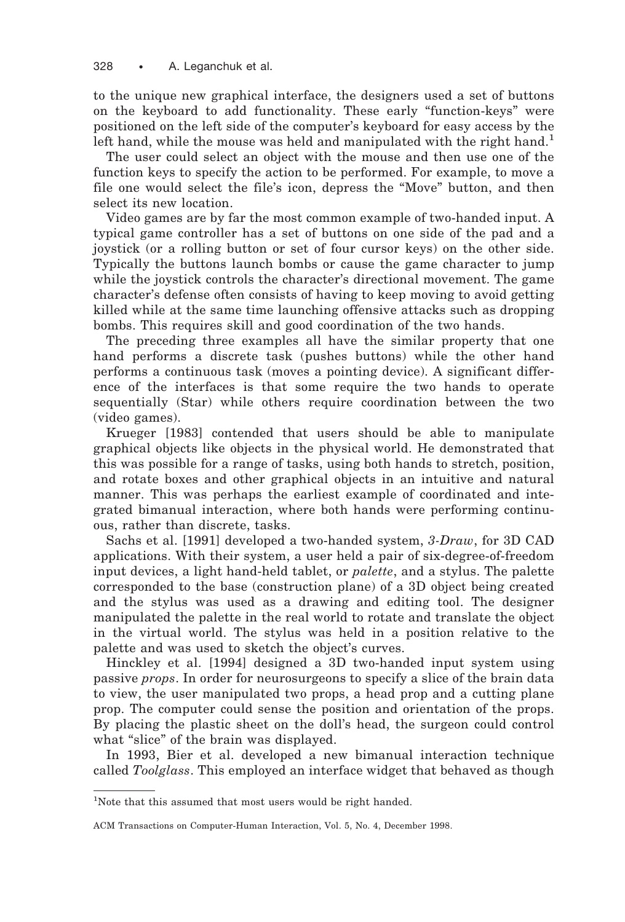to the unique new graphical interface, the designers used a set of buttons on the keyboard to add functionality. These early "function-keys" were positioned on the left side of the computer's keyboard for easy access by the left hand, while the mouse was held and manipulated with the right hand.<sup>1</sup>

The user could select an object with the mouse and then use one of the function keys to specify the action to be performed. For example, to move a file one would select the file's icon, depress the "Move" button, and then select its new location.

Video games are by far the most common example of two-handed input. A typical game controller has a set of buttons on one side of the pad and a joystick (or a rolling button or set of four cursor keys) on the other side. Typically the buttons launch bombs or cause the game character to jump while the joystick controls the character's directional movement. The game character's defense often consists of having to keep moving to avoid getting killed while at the same time launching offensive attacks such as dropping bombs. This requires skill and good coordination of the two hands.

The preceding three examples all have the similar property that one hand performs a discrete task (pushes buttons) while the other hand performs a continuous task (moves a pointing device). A significant difference of the interfaces is that some require the two hands to operate sequentially (Star) while others require coordination between the two (video games).

Krueger [1983] contended that users should be able to manipulate graphical objects like objects in the physical world. He demonstrated that this was possible for a range of tasks, using both hands to stretch, position, and rotate boxes and other graphical objects in an intuitive and natural manner. This was perhaps the earliest example of coordinated and integrated bimanual interaction, where both hands were performing continuous, rather than discrete, tasks.

Sachs et al. [1991] developed a two-handed system, *3-Draw*, for 3D CAD applications. With their system, a user held a pair of six-degree-of-freedom input devices, a light hand-held tablet, or *palette*, and a stylus. The palette corresponded to the base (construction plane) of a 3D object being created and the stylus was used as a drawing and editing tool. The designer manipulated the palette in the real world to rotate and translate the object in the virtual world. The stylus was held in a position relative to the palette and was used to sketch the object's curves.

Hinckley et al. [1994] designed a 3D two-handed input system using passive *props*. In order for neurosurgeons to specify a slice of the brain data to view, the user manipulated two props, a head prop and a cutting plane prop. The computer could sense the position and orientation of the props. By placing the plastic sheet on the doll's head, the surgeon could control what "slice" of the brain was displayed.

In 1993, Bier et al. developed a new bimanual interaction technique called *Toolglass*. This employed an interface widget that behaved as though

<sup>&</sup>lt;sup>1</sup>Note that this assumed that most users would be right handed.

ACM Transactions on Computer-Human Interaction, Vol. 5, No. 4, December 1998.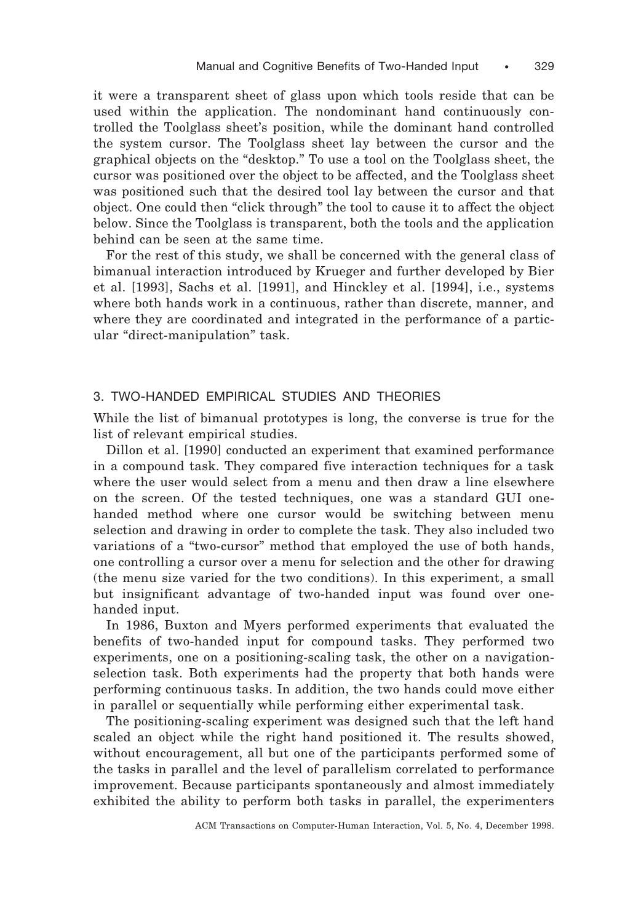it were a transparent sheet of glass upon which tools reside that can be used within the application. The nondominant hand continuously controlled the Toolglass sheet's position, while the dominant hand controlled the system cursor. The Toolglass sheet lay between the cursor and the graphical objects on the "desktop." To use a tool on the Toolglass sheet, the cursor was positioned over the object to be affected, and the Toolglass sheet was positioned such that the desired tool lay between the cursor and that object. One could then "click through" the tool to cause it to affect the object below. Since the Toolglass is transparent, both the tools and the application behind can be seen at the same time.

For the rest of this study, we shall be concerned with the general class of bimanual interaction introduced by Krueger and further developed by Bier et al. [1993], Sachs et al. [1991], and Hinckley et al. [1994], i.e., systems where both hands work in a continuous, rather than discrete, manner, and where they are coordinated and integrated in the performance of a particular "direct-manipulation" task.

### 3. TWO-HANDED EMPIRICAL STUDIES AND THEORIES

While the list of bimanual prototypes is long, the converse is true for the list of relevant empirical studies.

Dillon et al. [1990] conducted an experiment that examined performance in a compound task. They compared five interaction techniques for a task where the user would select from a menu and then draw a line elsewhere on the screen. Of the tested techniques, one was a standard GUI onehanded method where one cursor would be switching between menu selection and drawing in order to complete the task. They also included two variations of a "two-cursor" method that employed the use of both hands, one controlling a cursor over a menu for selection and the other for drawing (the menu size varied for the two conditions). In this experiment, a small but insignificant advantage of two-handed input was found over onehanded input.

In 1986, Buxton and Myers performed experiments that evaluated the benefits of two-handed input for compound tasks. They performed two experiments, one on a positioning-scaling task, the other on a navigationselection task. Both experiments had the property that both hands were performing continuous tasks. In addition, the two hands could move either in parallel or sequentially while performing either experimental task.

The positioning-scaling experiment was designed such that the left hand scaled an object while the right hand positioned it. The results showed, without encouragement, all but one of the participants performed some of the tasks in parallel and the level of parallelism correlated to performance improvement. Because participants spontaneously and almost immediately exhibited the ability to perform both tasks in parallel, the experimenters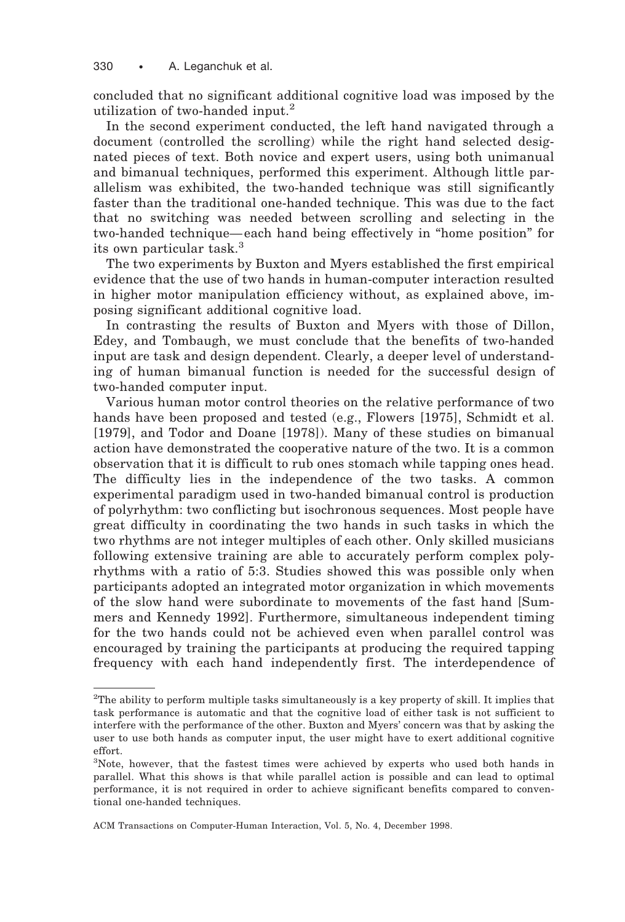concluded that no significant additional cognitive load was imposed by the utilization of two-handed input.<sup>2</sup>

In the second experiment conducted, the left hand navigated through a document (controlled the scrolling) while the right hand selected designated pieces of text. Both novice and expert users, using both unimanual and bimanual techniques, performed this experiment. Although little parallelism was exhibited, the two-handed technique was still significantly faster than the traditional one-handed technique. This was due to the fact that no switching was needed between scrolling and selecting in the two-handed technique—each hand being effectively in "home position" for its own particular task.<sup>3</sup>

The two experiments by Buxton and Myers established the first empirical evidence that the use of two hands in human-computer interaction resulted in higher motor manipulation efficiency without, as explained above, imposing significant additional cognitive load.

In contrasting the results of Buxton and Myers with those of Dillon, Edey, and Tombaugh, we must conclude that the benefits of two-handed input are task and design dependent. Clearly, a deeper level of understanding of human bimanual function is needed for the successful design of two-handed computer input.

Various human motor control theories on the relative performance of two hands have been proposed and tested (e.g., Flowers [1975], Schmidt et al. [1979], and Todor and Doane [1978]). Many of these studies on bimanual action have demonstrated the cooperative nature of the two. It is a common observation that it is difficult to rub ones stomach while tapping ones head. The difficulty lies in the independence of the two tasks. A common experimental paradigm used in two-handed bimanual control is production of polyrhythm: two conflicting but isochronous sequences. Most people have great difficulty in coordinating the two hands in such tasks in which the two rhythms are not integer multiples of each other. Only skilled musicians following extensive training are able to accurately perform complex polyrhythms with a ratio of 5:3. Studies showed this was possible only when participants adopted an integrated motor organization in which movements of the slow hand were subordinate to movements of the fast hand [Summers and Kennedy 1992]. Furthermore, simultaneous independent timing for the two hands could not be achieved even when parallel control was encouraged by training the participants at producing the required tapping frequency with each hand independently first. The interdependence of

<sup>2</sup> The ability to perform multiple tasks simultaneously is a key property of skill. It implies that task performance is automatic and that the cognitive load of either task is not sufficient to interfere with the performance of the other. Buxton and Myers' concern was that by asking the user to use both hands as computer input, the user might have to exert additional cognitive effort.

<sup>3</sup> Note, however, that the fastest times were achieved by experts who used both hands in parallel. What this shows is that while parallel action is possible and can lead to optimal performance, it is not required in order to achieve significant benefits compared to conventional one-handed techniques.

ACM Transactions on Computer-Human Interaction, Vol. 5, No. 4, December 1998.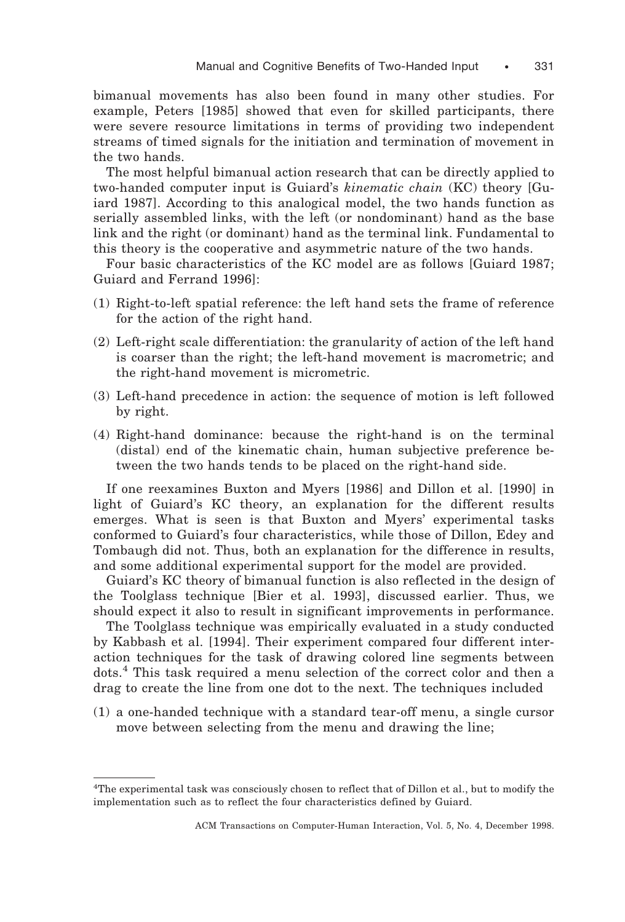bimanual movements has also been found in many other studies. For example, Peters [1985] showed that even for skilled participants, there were severe resource limitations in terms of providing two independent streams of timed signals for the initiation and termination of movement in the two hands.

The most helpful bimanual action research that can be directly applied to two-handed computer input is Guiard's *kinematic chain* (KC) theory [Guiard 1987]. According to this analogical model, the two hands function as serially assembled links, with the left (or nondominant) hand as the base link and the right (or dominant) hand as the terminal link. Fundamental to this theory is the cooperative and asymmetric nature of the two hands.

Four basic characteristics of the KC model are as follows [Guiard 1987; Guiard and Ferrand 1996]:

- (1) Right-to-left spatial reference: the left hand sets the frame of reference for the action of the right hand.
- (2) Left-right scale differentiation: the granularity of action of the left hand is coarser than the right; the left-hand movement is macrometric; and the right-hand movement is micrometric.
- (3) Left-hand precedence in action: the sequence of motion is left followed by right.
- (4) Right-hand dominance: because the right-hand is on the terminal (distal) end of the kinematic chain, human subjective preference between the two hands tends to be placed on the right-hand side.

If one reexamines Buxton and Myers [1986] and Dillon et al. [1990] in light of Guiard's KC theory, an explanation for the different results emerges. What is seen is that Buxton and Myers' experimental tasks conformed to Guiard's four characteristics, while those of Dillon, Edey and Tombaugh did not. Thus, both an explanation for the difference in results, and some additional experimental support for the model are provided.

Guiard's KC theory of bimanual function is also reflected in the design of the Toolglass technique [Bier et al. 1993], discussed earlier. Thus, we should expect it also to result in significant improvements in performance.

The Toolglass technique was empirically evaluated in a study conducted by Kabbash et al. [1994]. Their experiment compared four different interaction techniques for the task of drawing colored line segments between dots.<sup>4</sup> This task required a menu selection of the correct color and then a drag to create the line from one dot to the next. The techniques included

(1) a one-handed technique with a standard tear-off menu, a single cursor move between selecting from the menu and drawing the line;

<sup>4</sup> The experimental task was consciously chosen to reflect that of Dillon et al., but to modify the implementation such as to reflect the four characteristics defined by Guiard.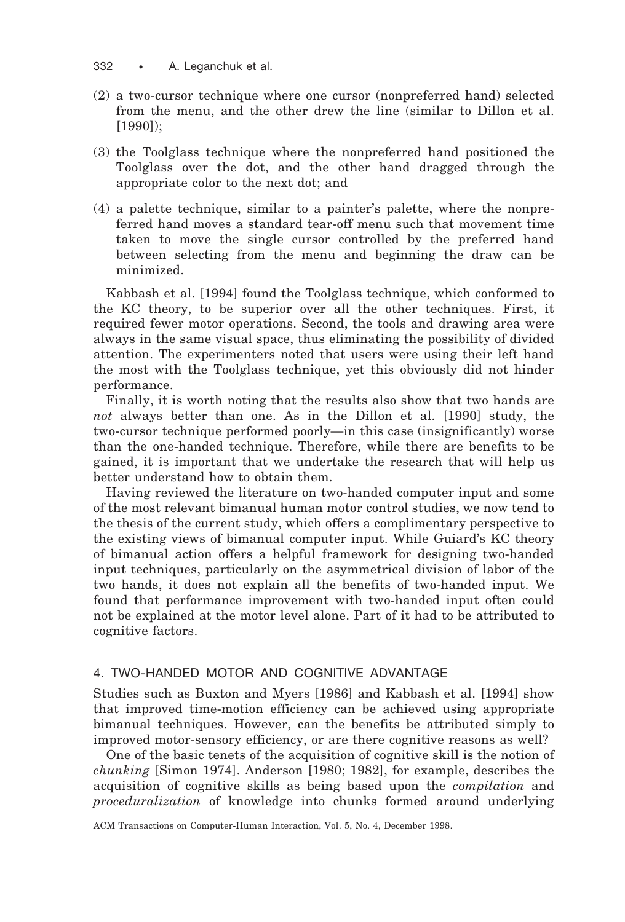332 • A. Leganchuk et al.

- (2) a two-cursor technique where one cursor (nonpreferred hand) selected from the menu, and the other drew the line (similar to Dillon et al. [1990]);
- (3) the Toolglass technique where the nonpreferred hand positioned the Toolglass over the dot, and the other hand dragged through the appropriate color to the next dot; and
- (4) a palette technique, similar to a painter's palette, where the nonpreferred hand moves a standard tear-off menu such that movement time taken to move the single cursor controlled by the preferred hand between selecting from the menu and beginning the draw can be minimized.

Kabbash et al. [1994] found the Toolglass technique, which conformed to the KC theory, to be superior over all the other techniques. First, it required fewer motor operations. Second, the tools and drawing area were always in the same visual space, thus eliminating the possibility of divided attention. The experimenters noted that users were using their left hand the most with the Toolglass technique, yet this obviously did not hinder performance.

Finally, it is worth noting that the results also show that two hands are *not* always better than one. As in the Dillon et al. [1990] study, the two-cursor technique performed poorly—in this case (insignificantly) worse than the one-handed technique. Therefore, while there are benefits to be gained, it is important that we undertake the research that will help us better understand how to obtain them.

Having reviewed the literature on two-handed computer input and some of the most relevant bimanual human motor control studies, we now tend to the thesis of the current study, which offers a complimentary perspective to the existing views of bimanual computer input. While Guiard's KC theory of bimanual action offers a helpful framework for designing two-handed input techniques, particularly on the asymmetrical division of labor of the two hands, it does not explain all the benefits of two-handed input. We found that performance improvement with two-handed input often could not be explained at the motor level alone. Part of it had to be attributed to cognitive factors.

# 4. TWO-HANDED MOTOR AND COGNITIVE ADVANTAGE

Studies such as Buxton and Myers [1986] and Kabbash et al. [1994] show that improved time-motion efficiency can be achieved using appropriate bimanual techniques. However, can the benefits be attributed simply to improved motor-sensory efficiency, or are there cognitive reasons as well?

One of the basic tenets of the acquisition of cognitive skill is the notion of *chunking* [Simon 1974]. Anderson [1980; 1982], for example, describes the acquisition of cognitive skills as being based upon the *compilation* and *proceduralization* of knowledge into chunks formed around underlying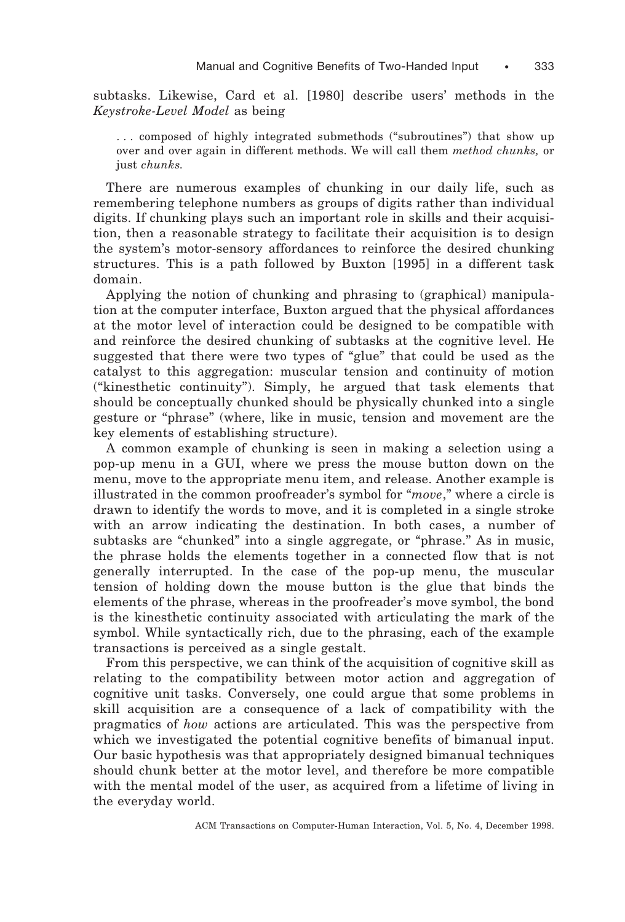subtasks. Likewise, Card et al. [1980] describe users' methods in the *Keystroke-Level Model* as being

. . . composed of highly integrated submethods ("subroutines") that show up over and over again in different methods. We will call them *method chunks,* or just *chunks.*

There are numerous examples of chunking in our daily life, such as remembering telephone numbers as groups of digits rather than individual digits. If chunking plays such an important role in skills and their acquisition, then a reasonable strategy to facilitate their acquisition is to design the system's motor-sensory affordances to reinforce the desired chunking structures. This is a path followed by Buxton [1995] in a different task domain.

Applying the notion of chunking and phrasing to (graphical) manipulation at the computer interface, Buxton argued that the physical affordances at the motor level of interaction could be designed to be compatible with and reinforce the desired chunking of subtasks at the cognitive level. He suggested that there were two types of "glue" that could be used as the catalyst to this aggregation: muscular tension and continuity of motion ("kinesthetic continuity"). Simply, he argued that task elements that should be conceptually chunked should be physically chunked into a single gesture or "phrase" (where, like in music, tension and movement are the key elements of establishing structure).

A common example of chunking is seen in making a selection using a pop-up menu in a GUI, where we press the mouse button down on the menu, move to the appropriate menu item, and release. Another example is illustrated in the common proofreader's symbol for "*move*," where a circle is drawn to identify the words to move, and it is completed in a single stroke with an arrow indicating the destination. In both cases, a number of subtasks are "chunked" into a single aggregate, or "phrase." As in music, the phrase holds the elements together in a connected flow that is not generally interrupted. In the case of the pop-up menu, the muscular tension of holding down the mouse button is the glue that binds the elements of the phrase, whereas in the proofreader's move symbol, the bond is the kinesthetic continuity associated with articulating the mark of the symbol. While syntactically rich, due to the phrasing, each of the example transactions is perceived as a single gestalt.

From this perspective, we can think of the acquisition of cognitive skill as relating to the compatibility between motor action and aggregation of cognitive unit tasks. Conversely, one could argue that some problems in skill acquisition are a consequence of a lack of compatibility with the pragmatics of *how* actions are articulated. This was the perspective from which we investigated the potential cognitive benefits of bimanual input. Our basic hypothesis was that appropriately designed bimanual techniques should chunk better at the motor level, and therefore be more compatible with the mental model of the user, as acquired from a lifetime of living in the everyday world.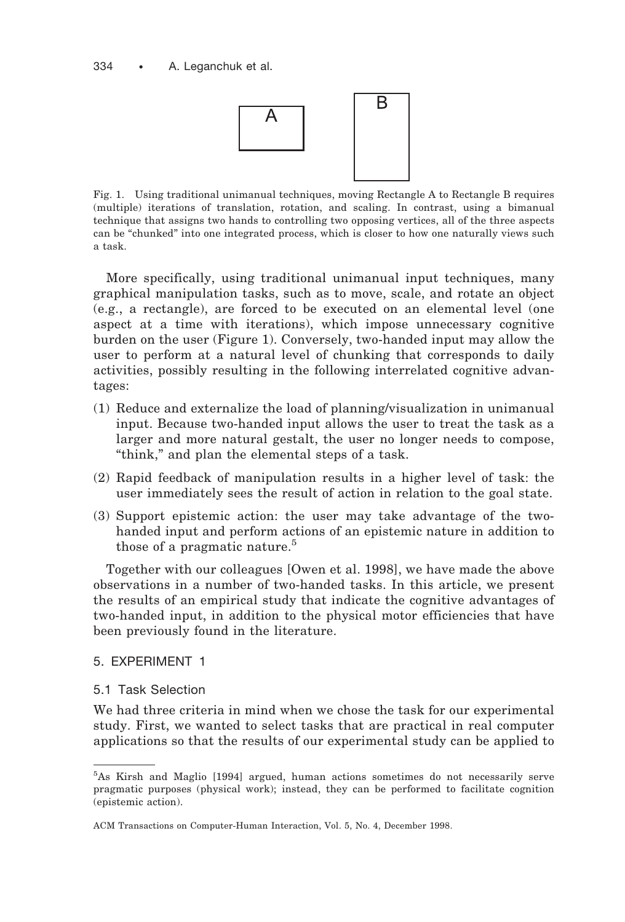

Fig. 1. Using traditional unimanual techniques, moving Rectangle A to Rectangle B requires (multiple) iterations of translation, rotation, and scaling. In contrast, using a bimanual technique that assigns two hands to controlling two opposing vertices, all of the three aspects can be "chunked" into one integrated process, which is closer to how one naturally views such a task.

More specifically, using traditional unimanual input techniques, many graphical manipulation tasks, such as to move, scale, and rotate an object (e.g., a rectangle), are forced to be executed on an elemental level (one aspect at a time with iterations), which impose unnecessary cognitive burden on the user (Figure 1). Conversely, two-handed input may allow the user to perform at a natural level of chunking that corresponds to daily activities, possibly resulting in the following interrelated cognitive advantages:

- (1) Reduce and externalize the load of planning/visualization in unimanual input. Because two-handed input allows the user to treat the task as a larger and more natural gestalt, the user no longer needs to compose, "think," and plan the elemental steps of a task.
- (2) Rapid feedback of manipulation results in a higher level of task: the user immediately sees the result of action in relation to the goal state.
- (3) Support epistemic action: the user may take advantage of the twohanded input and perform actions of an epistemic nature in addition to those of a pragmatic nature.<sup>5</sup>

Together with our colleagues [Owen et al. 1998], we have made the above observations in a number of two-handed tasks. In this article, we present the results of an empirical study that indicate the cognitive advantages of two-handed input, in addition to the physical motor efficiencies that have been previously found in the literature.

# 5. EXPERIMENT 1

### 5.1 Task Selection

We had three criteria in mind when we chose the task for our experimental study. First, we wanted to select tasks that are practical in real computer applications so that the results of our experimental study can be applied to

<sup>5</sup> As Kirsh and Maglio [1994] argued, human actions sometimes do not necessarily serve pragmatic purposes (physical work); instead, they can be performed to facilitate cognition (epistemic action).

ACM Transactions on Computer-Human Interaction, Vol. 5, No. 4, December 1998.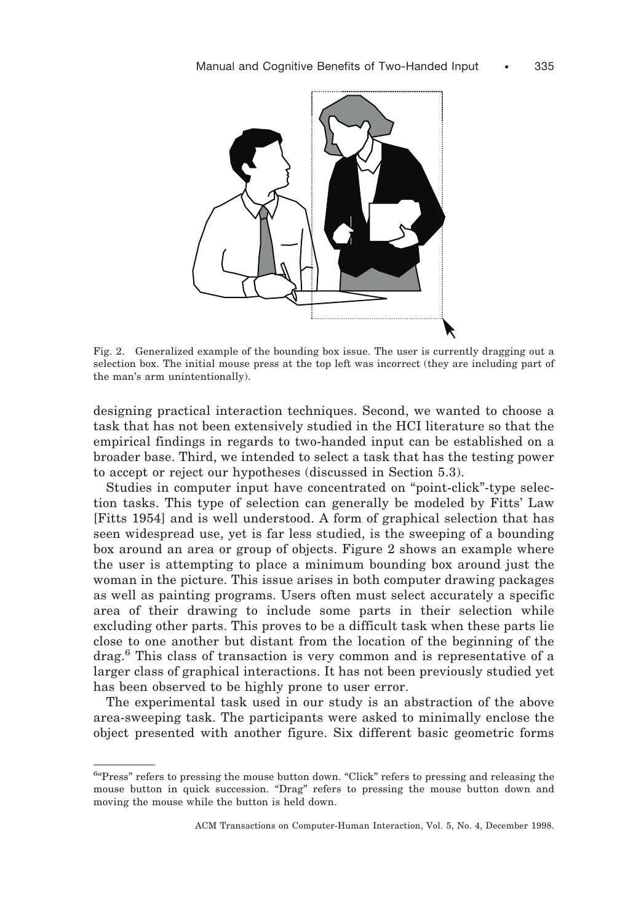

Fig. 2. Generalized example of the bounding box issue. The user is currently dragging out a selection box. The initial mouse press at the top left was incorrect (they are including part of the man's arm unintentionally).

designing practical interaction techniques. Second, we wanted to choose a task that has not been extensively studied in the HCI literature so that the empirical findings in regards to two-handed input can be established on a broader base. Third, we intended to select a task that has the testing power to accept or reject our hypotheses (discussed in Section 5.3).

Studies in computer input have concentrated on "point-click"-type selection tasks. This type of selection can generally be modeled by Fitts' Law [Fitts 1954] and is well understood. A form of graphical selection that has seen widespread use, yet is far less studied, is the sweeping of a bounding box around an area or group of objects. Figure 2 shows an example where the user is attempting to place a minimum bounding box around just the woman in the picture. This issue arises in both computer drawing packages as well as painting programs. Users often must select accurately a specific area of their drawing to include some parts in their selection while excluding other parts. This proves to be a difficult task when these parts lie close to one another but distant from the location of the beginning of the drag.<sup>6</sup> This class of transaction is very common and is representative of a larger class of graphical interactions. It has not been previously studied yet has been observed to be highly prone to user error.

The experimental task used in our study is an abstraction of the above area-sweeping task. The participants were asked to minimally enclose the object presented with another figure. Six different basic geometric forms

<sup>&</sup>lt;sup>6</sup> Press" refers to pressing the mouse button down. "Click" refers to pressing and releasing the mouse button in quick succession. "Drag" refers to pressing the mouse button down and moving the mouse while the button is held down.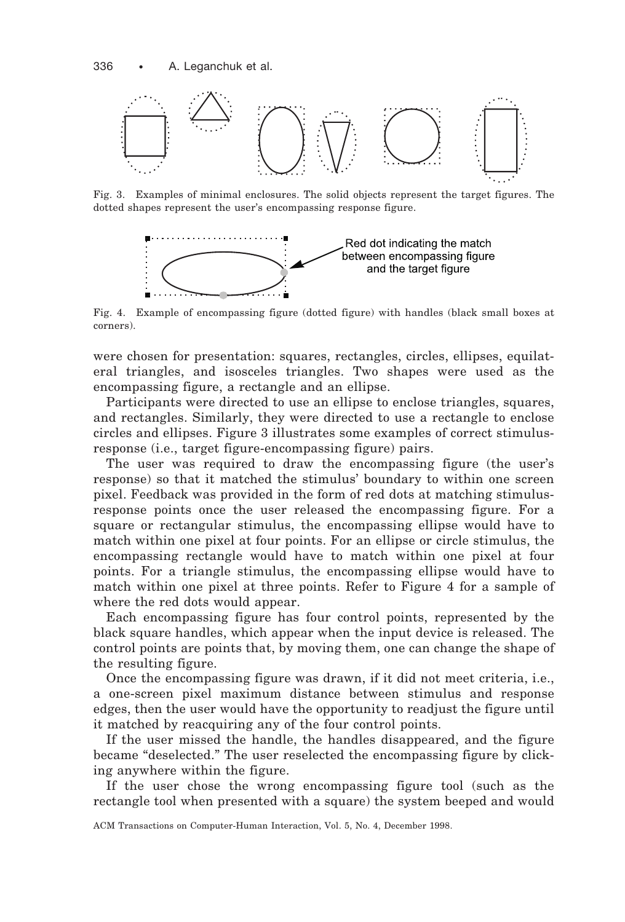

Fig. 3. Examples of minimal enclosures. The solid objects represent the target figures. The dotted shapes represent the user's encompassing response figure.



Fig. 4. Example of encompassing figure (dotted figure) with handles (black small boxes at corners).

were chosen for presentation: squares, rectangles, circles, ellipses, equilateral triangles, and isosceles triangles. Two shapes were used as the encompassing figure, a rectangle and an ellipse.

Participants were directed to use an ellipse to enclose triangles, squares, and rectangles. Similarly, they were directed to use a rectangle to enclose circles and ellipses. Figure 3 illustrates some examples of correct stimulusresponse (i.e., target figure-encompassing figure) pairs.

The user was required to draw the encompassing figure (the user's response) so that it matched the stimulus' boundary to within one screen pixel. Feedback was provided in the form of red dots at matching stimulusresponse points once the user released the encompassing figure. For a square or rectangular stimulus, the encompassing ellipse would have to match within one pixel at four points. For an ellipse or circle stimulus, the encompassing rectangle would have to match within one pixel at four points. For a triangle stimulus, the encompassing ellipse would have to match within one pixel at three points. Refer to Figure 4 for a sample of where the red dots would appear.

Each encompassing figure has four control points, represented by the black square handles, which appear when the input device is released. The control points are points that, by moving them, one can change the shape of the resulting figure.

Once the encompassing figure was drawn, if it did not meet criteria, i.e., a one-screen pixel maximum distance between stimulus and response edges, then the user would have the opportunity to readjust the figure until it matched by reacquiring any of the four control points.

If the user missed the handle, the handles disappeared, and the figure became "deselected." The user reselected the encompassing figure by clicking anywhere within the figure.

If the user chose the wrong encompassing figure tool (such as the rectangle tool when presented with a square) the system beeped and would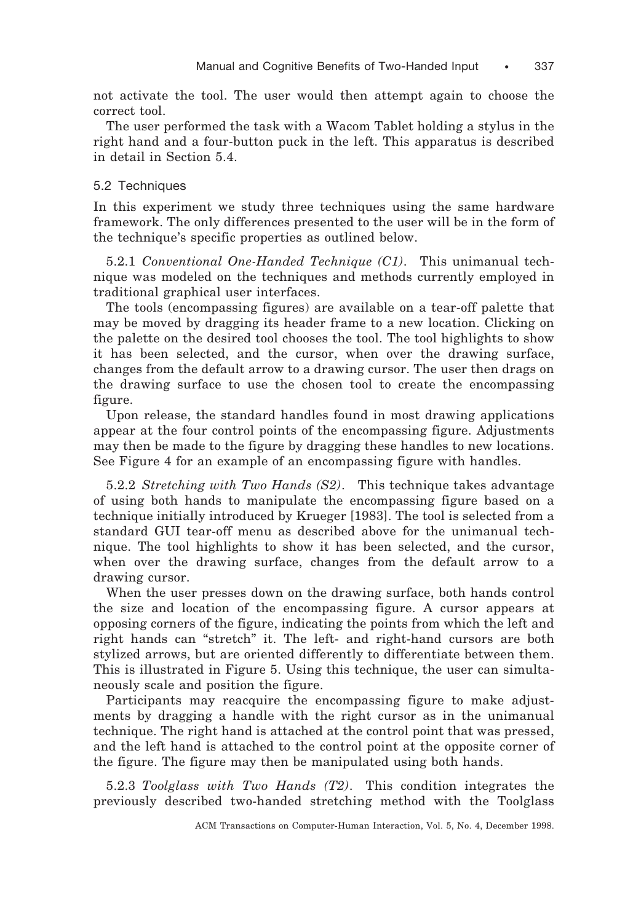not activate the tool. The user would then attempt again to choose the correct tool.

The user performed the task with a Wacom Tablet holding a stylus in the right hand and a four-button puck in the left. This apparatus is described in detail in Section 5.4.

#### 5.2 Techniques

In this experiment we study three techniques using the same hardware framework. The only differences presented to the user will be in the form of the technique's specific properties as outlined below.

5.2.1 *Conventional One-Handed Technique (C1)*. This unimanual technique was modeled on the techniques and methods currently employed in traditional graphical user interfaces.

The tools (encompassing figures) are available on a tear-off palette that may be moved by dragging its header frame to a new location. Clicking on the palette on the desired tool chooses the tool. The tool highlights to show it has been selected, and the cursor, when over the drawing surface, changes from the default arrow to a drawing cursor. The user then drags on the drawing surface to use the chosen tool to create the encompassing figure.

Upon release, the standard handles found in most drawing applications appear at the four control points of the encompassing figure. Adjustments may then be made to the figure by dragging these handles to new locations. See Figure 4 for an example of an encompassing figure with handles.

5.2.2 *Stretching with Two Hands (S2)*. This technique takes advantage of using both hands to manipulate the encompassing figure based on a technique initially introduced by Krueger [1983]. The tool is selected from a standard GUI tear-off menu as described above for the unimanual technique. The tool highlights to show it has been selected, and the cursor, when over the drawing surface, changes from the default arrow to a drawing cursor.

When the user presses down on the drawing surface, both hands control the size and location of the encompassing figure. A cursor appears at opposing corners of the figure, indicating the points from which the left and right hands can "stretch" it. The left- and right-hand cursors are both stylized arrows, but are oriented differently to differentiate between them. This is illustrated in Figure 5. Using this technique, the user can simultaneously scale and position the figure.

Participants may reacquire the encompassing figure to make adjustments by dragging a handle with the right cursor as in the unimanual technique. The right hand is attached at the control point that was pressed, and the left hand is attached to the control point at the opposite corner of the figure. The figure may then be manipulated using both hands.

5.2.3 *Toolglass with Two Hands (T2)*. This condition integrates the previously described two-handed stretching method with the Toolglass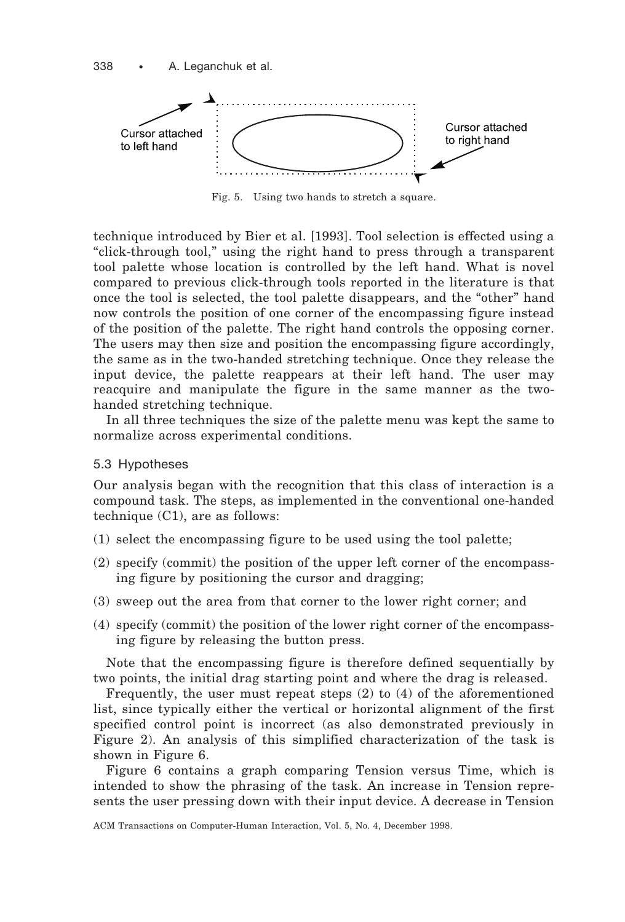

Fig. 5. Using two hands to stretch a square.

technique introduced by Bier et al. [1993]. Tool selection is effected using a "click-through tool," using the right hand to press through a transparent tool palette whose location is controlled by the left hand. What is novel compared to previous click-through tools reported in the literature is that once the tool is selected, the tool palette disappears, and the "other" hand now controls the position of one corner of the encompassing figure instead of the position of the palette. The right hand controls the opposing corner. The users may then size and position the encompassing figure accordingly, the same as in the two-handed stretching technique. Once they release the input device, the palette reappears at their left hand. The user may reacquire and manipulate the figure in the same manner as the twohanded stretching technique.

In all three techniques the size of the palette menu was kept the same to normalize across experimental conditions.

#### 5.3 Hypotheses

Our analysis began with the recognition that this class of interaction is a compound task. The steps, as implemented in the conventional one-handed technique (C1), are as follows:

- (1) select the encompassing figure to be used using the tool palette;
- (2) specify (commit) the position of the upper left corner of the encompassing figure by positioning the cursor and dragging;
- (3) sweep out the area from that corner to the lower right corner; and
- (4) specify (commit) the position of the lower right corner of the encompassing figure by releasing the button press.

Note that the encompassing figure is therefore defined sequentially by two points, the initial drag starting point and where the drag is released.

Frequently, the user must repeat steps (2) to (4) of the aforementioned list, since typically either the vertical or horizontal alignment of the first specified control point is incorrect (as also demonstrated previously in Figure 2). An analysis of this simplified characterization of the task is shown in Figure 6.

Figure 6 contains a graph comparing Tension versus Time, which is intended to show the phrasing of the task. An increase in Tension represents the user pressing down with their input device. A decrease in Tension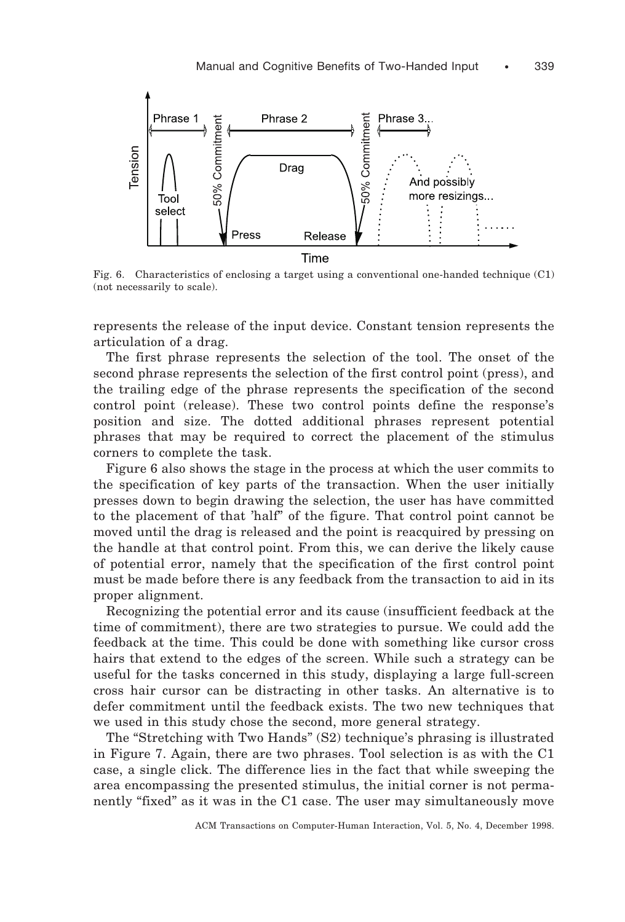

Fig. 6. Characteristics of enclosing a target using a conventional one-handed technique (C1) (not necessarily to scale).

represents the release of the input device. Constant tension represents the articulation of a drag.

The first phrase represents the selection of the tool. The onset of the second phrase represents the selection of the first control point (press), and the trailing edge of the phrase represents the specification of the second control point (release). These two control points define the response's position and size. The dotted additional phrases represent potential phrases that may be required to correct the placement of the stimulus corners to complete the task.

Figure 6 also shows the stage in the process at which the user commits to the specification of key parts of the transaction. When the user initially presses down to begin drawing the selection, the user has have committed to the placement of that 'half" of the figure. That control point cannot be moved until the drag is released and the point is reacquired by pressing on the handle at that control point. From this, we can derive the likely cause of potential error, namely that the specification of the first control point must be made before there is any feedback from the transaction to aid in its proper alignment.

Recognizing the potential error and its cause (insufficient feedback at the time of commitment), there are two strategies to pursue. We could add the feedback at the time. This could be done with something like cursor cross hairs that extend to the edges of the screen. While such a strategy can be useful for the tasks concerned in this study, displaying a large full-screen cross hair cursor can be distracting in other tasks. An alternative is to defer commitment until the feedback exists. The two new techniques that we used in this study chose the second, more general strategy.

The "Stretching with Two Hands" (S2) technique's phrasing is illustrated in Figure 7. Again, there are two phrases. Tool selection is as with the C1 case, a single click. The difference lies in the fact that while sweeping the area encompassing the presented stimulus, the initial corner is not permanently "fixed" as it was in the C1 case. The user may simultaneously move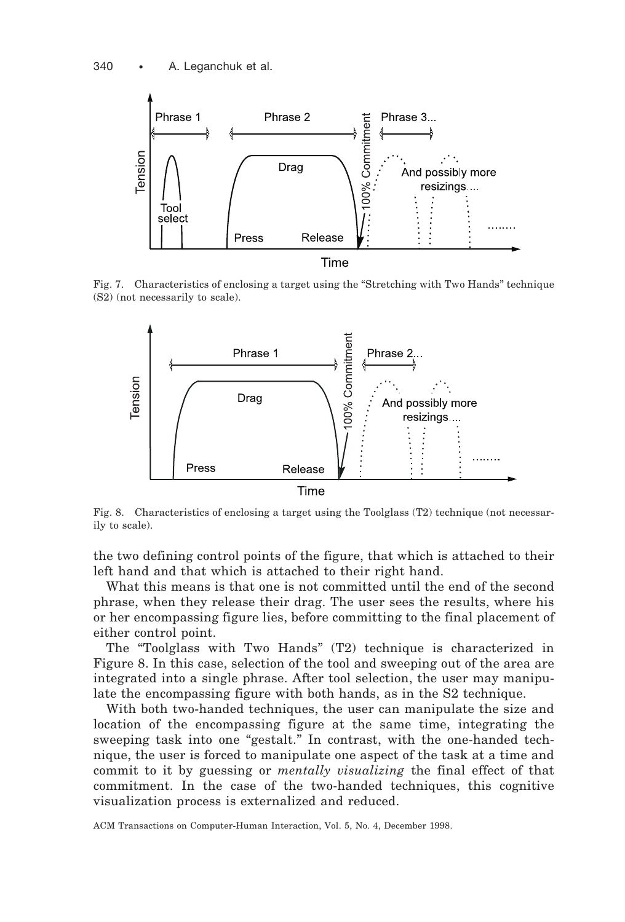

Fig. 7. Characteristics of enclosing a target using the "Stretching with Two Hands" technique (S2) (not necessarily to scale).



Fig. 8. Characteristics of enclosing a target using the Toolglass (T2) technique (not necessarily to scale).

the two defining control points of the figure, that which is attached to their left hand and that which is attached to their right hand.

What this means is that one is not committed until the end of the second phrase, when they release their drag. The user sees the results, where his or her encompassing figure lies, before committing to the final placement of either control point.

The "Toolglass with Two Hands" (T2) technique is characterized in Figure 8. In this case, selection of the tool and sweeping out of the area are integrated into a single phrase. After tool selection, the user may manipulate the encompassing figure with both hands, as in the S2 technique.

With both two-handed techniques, the user can manipulate the size and location of the encompassing figure at the same time, integrating the sweeping task into one "gestalt." In contrast, with the one-handed technique, the user is forced to manipulate one aspect of the task at a time and commit to it by guessing or *mentally visualizing* the final effect of that commitment. In the case of the two-handed techniques, this cognitive visualization process is externalized and reduced.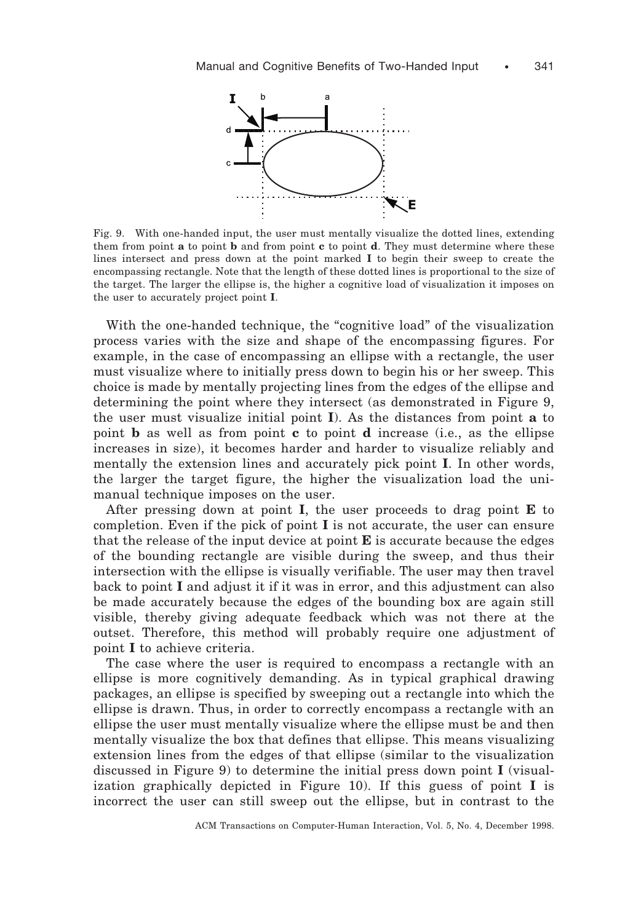

Fig. 9. With one-handed input, the user must mentally visualize the dotted lines, extending them from point **a** to point **b** and from point **c** to point **d**. They must determine where these lines intersect and press down at the point marked **I** to begin their sweep to create the encompassing rectangle. Note that the length of these dotted lines is proportional to the size of the target. The larger the ellipse is, the higher a cognitive load of visualization it imposes on the user to accurately project point **I**.

With the one-handed technique, the "cognitive load" of the visualization process varies with the size and shape of the encompassing figures. For example, in the case of encompassing an ellipse with a rectangle, the user must visualize where to initially press down to begin his or her sweep. This choice is made by mentally projecting lines from the edges of the ellipse and determining the point where they intersect (as demonstrated in Figure 9, the user must visualize initial point **I**). As the distances from point **a** to point **b** as well as from point **c** to point **d** increase (i.e., as the ellipse increases in size), it becomes harder and harder to visualize reliably and mentally the extension lines and accurately pick point **I**. In other words, the larger the target figure, the higher the visualization load the unimanual technique imposes on the user.

After pressing down at point **I**, the user proceeds to drag point **E** to completion. Even if the pick of point **I** is not accurate, the user can ensure that the release of the input device at point **E** is accurate because the edges of the bounding rectangle are visible during the sweep, and thus their intersection with the ellipse is visually verifiable. The user may then travel back to point **I** and adjust it if it was in error, and this adjustment can also be made accurately because the edges of the bounding box are again still visible, thereby giving adequate feedback which was not there at the outset. Therefore, this method will probably require one adjustment of point **I** to achieve criteria.

The case where the user is required to encompass a rectangle with an ellipse is more cognitively demanding. As in typical graphical drawing packages, an ellipse is specified by sweeping out a rectangle into which the ellipse is drawn. Thus, in order to correctly encompass a rectangle with an ellipse the user must mentally visualize where the ellipse must be and then mentally visualize the box that defines that ellipse. This means visualizing extension lines from the edges of that ellipse (similar to the visualization discussed in Figure 9) to determine the initial press down point **I** (visualization graphically depicted in Figure 10). If this guess of point **I** is incorrect the user can still sweep out the ellipse, but in contrast to the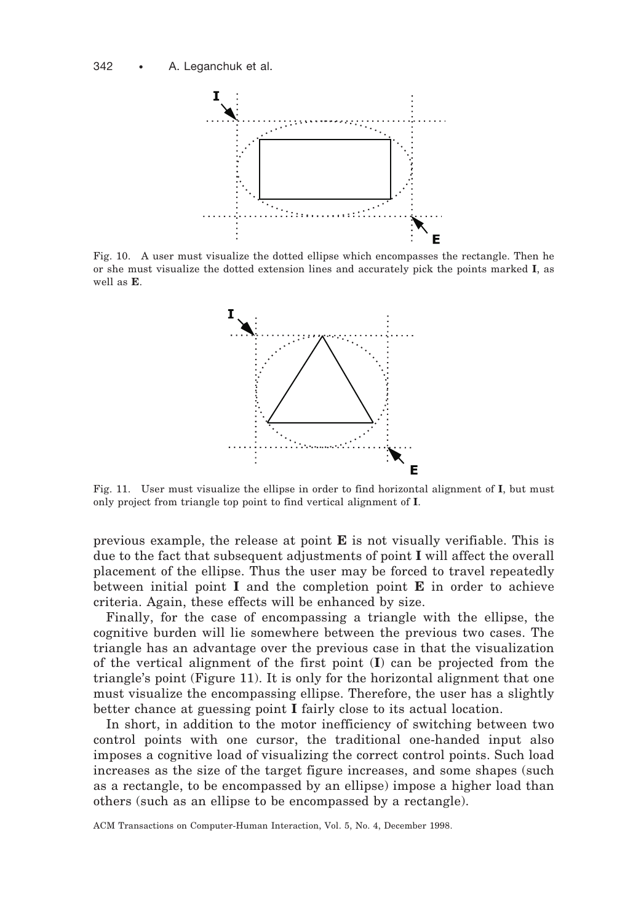

Fig. 10. A user must visualize the dotted ellipse which encompasses the rectangle. Then he or she must visualize the dotted extension lines and accurately pick the points marked **I**, as well as **E**.



Fig. 11. User must visualize the ellipse in order to find horizontal alignment of **I**, but must only project from triangle top point to find vertical alignment of **I**.

previous example, the release at point **E** is not visually verifiable. This is due to the fact that subsequent adjustments of point **I** will affect the overall placement of the ellipse. Thus the user may be forced to travel repeatedly between initial point **I** and the completion point **E** in order to achieve criteria. Again, these effects will be enhanced by size.

Finally, for the case of encompassing a triangle with the ellipse, the cognitive burden will lie somewhere between the previous two cases. The triangle has an advantage over the previous case in that the visualization of the vertical alignment of the first point (**I**) can be projected from the triangle's point (Figure 11). It is only for the horizontal alignment that one must visualize the encompassing ellipse. Therefore, the user has a slightly better chance at guessing point **I** fairly close to its actual location.

In short, in addition to the motor inefficiency of switching between two control points with one cursor, the traditional one-handed input also imposes a cognitive load of visualizing the correct control points. Such load increases as the size of the target figure increases, and some shapes (such as a rectangle, to be encompassed by an ellipse) impose a higher load than others (such as an ellipse to be encompassed by a rectangle).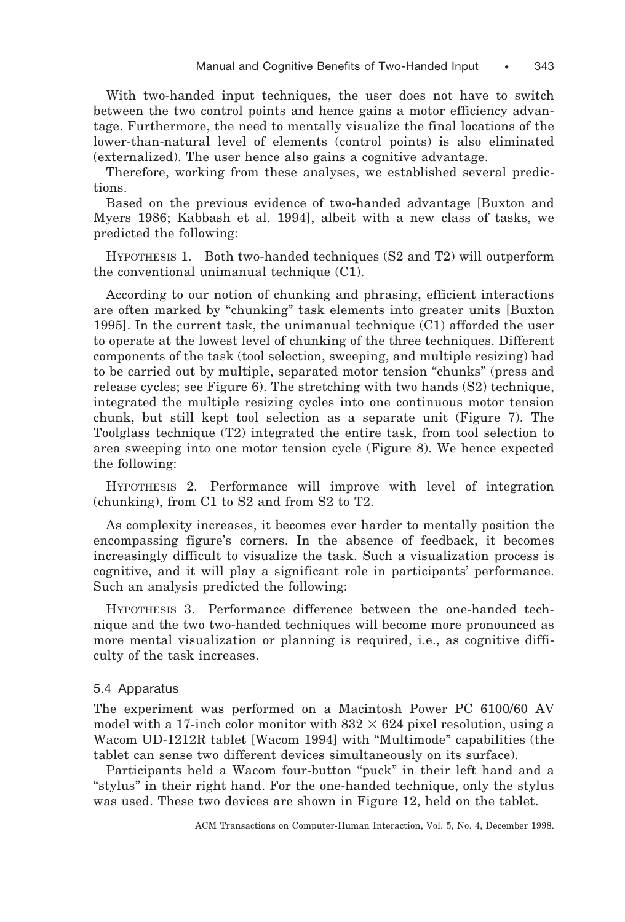With two-handed input techniques, the user does not have to switch between the two control points and hence gains a motor efficiency advantage. Furthermore, the need to mentally visualize the final locations of the lower-than-natural level of elements (control points) is also eliminated (externalized). The user hence also gains a cognitive advantage.

Therefore, working from these analyses, we established several predictions.

Based on the previous evidence of two-handed advantage [Buxton and Myers 1986; Kabbash et al. 1994], albeit with a new class of tasks, we predicted the following:

HYPOTHESIS 1. Both two-handed techniques (S2 and T2) will outperform the conventional unimanual technique (C1).

According to our notion of chunking and phrasing, efficient interactions are often marked by "chunking" task elements into greater units [Buxton 1995]. In the current task, the unimanual technique (C1) afforded the user to operate at the lowest level of chunking of the three techniques. Different components of the task (tool selection, sweeping, and multiple resizing) had to be carried out by multiple, separated motor tension "chunks" (press and release cycles; see Figure 6). The stretching with two hands (S2) technique, integrated the multiple resizing cycles into one continuous motor tension chunk, but still kept tool selection as a separate unit (Figure 7). The Toolglass technique (T2) integrated the entire task, from tool selection to area sweeping into one motor tension cycle (Figure 8). We hence expected the following:

HYPOTHESIS 2. Performance will improve with level of integration (chunking), from C1 to S2 and from S2 to T2.

As complexity increases, it becomes ever harder to mentally position the encompassing figure's corners. In the absence of feedback, it becomes increasingly difficult to visualize the task. Such a visualization process is cognitive, and it will play a significant role in participants' performance. Such an analysis predicted the following:

HYPOTHESIS 3. Performance difference between the one-handed technique and the two two-handed techniques will become more pronounced as more mental visualization or planning is required, i.e., as cognitive difficulty of the task increases.

#### 5.4 Apparatus

The experiment was performed on a Macintosh Power PC 6100/60 AV model with a 17-inch color monitor with  $832 \times 624$  pixel resolution, using a Wacom UD-1212R tablet [Wacom 1994] with "Multimode" capabilities (the tablet can sense two different devices simultaneously on its surface).

Participants held a Wacom four-button "puck" in their left hand and a "stylus" in their right hand. For the one-handed technique, only the stylus was used. These two devices are shown in Figure 12, held on the tablet.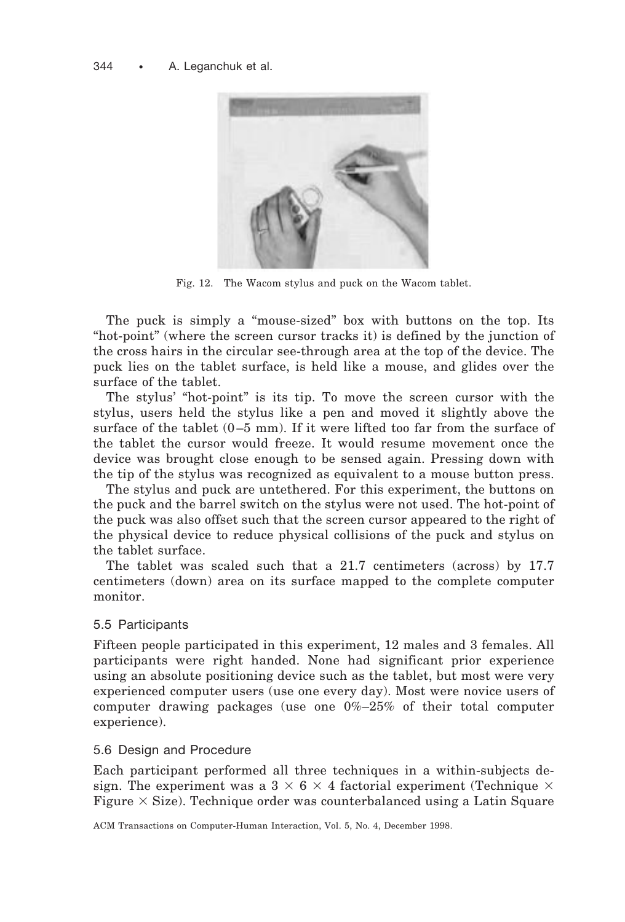

Fig. 12. The Wacom stylus and puck on the Wacom tablet.

The puck is simply a "mouse-sized" box with buttons on the top. Its "hot-point" (where the screen cursor tracks it) is defined by the junction of the cross hairs in the circular see-through area at the top of the device. The puck lies on the tablet surface, is held like a mouse, and glides over the surface of the tablet.

The stylus' "hot-point" is its tip. To move the screen cursor with the stylus, users held the stylus like a pen and moved it slightly above the surface of the tablet  $(0-5 \text{ mm})$ . If it were lifted too far from the surface of the tablet the cursor would freeze. It would resume movement once the device was brought close enough to be sensed again. Pressing down with the tip of the stylus was recognized as equivalent to a mouse button press.

The stylus and puck are untethered. For this experiment, the buttons on the puck and the barrel switch on the stylus were not used. The hot-point of the puck was also offset such that the screen cursor appeared to the right of the physical device to reduce physical collisions of the puck and stylus on the tablet surface.

The tablet was scaled such that a 21.7 centimeters (across) by 17.7 centimeters (down) area on its surface mapped to the complete computer monitor.

# 5.5 Participants

Fifteen people participated in this experiment, 12 males and 3 females. All participants were right handed. None had significant prior experience using an absolute positioning device such as the tablet, but most were very experienced computer users (use one every day). Most were novice users of computer drawing packages (use one 0%–25% of their total computer experience).

# 5.6 Design and Procedure

Each participant performed all three techniques in a within-subjects design. The experiment was a  $3 \times 6 \times 4$  factorial experiment (Technique  $\times$ Figure  $\times$  Size). Technique order was counterbalanced using a Latin Square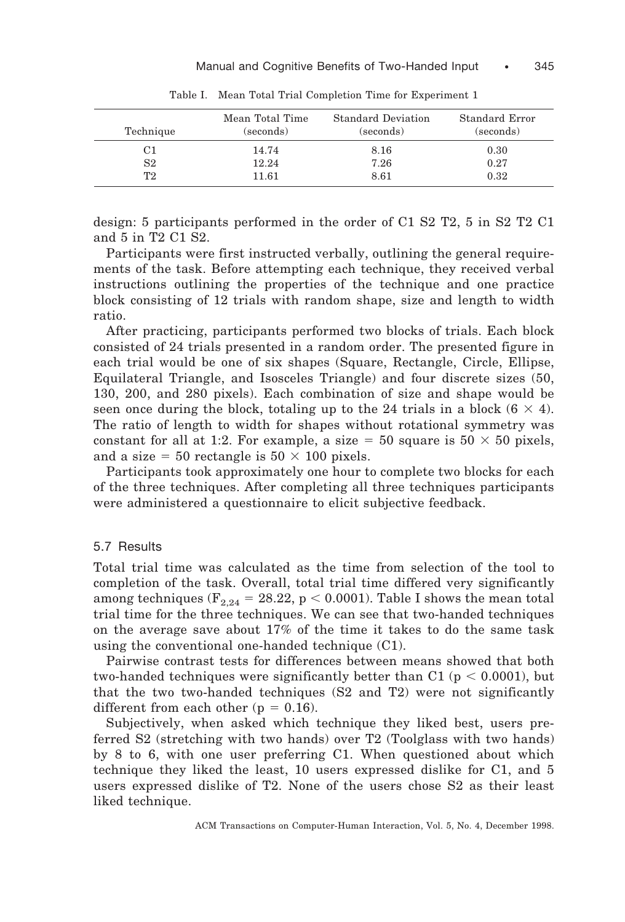| Technique | Mean Total Time<br>(seconds) | <b>Standard Deviation</b><br>(seconds) | <b>Standard Error</b><br>(seconds) |
|-----------|------------------------------|----------------------------------------|------------------------------------|
| C1        | 14.74                        | 8.16                                   | 0.30                               |
| S2        | 12.24                        | 7.26                                   | 0.27                               |
| ፐን        | 11.61                        | 8.61                                   | 0.32                               |

Table I. Mean Total Trial Completion Time for Experiment 1

design: 5 participants performed in the order of C1 S2 T2, 5 in S2 T2 C1 and 5 in T2 C1 S2.

Participants were first instructed verbally, outlining the general requirements of the task. Before attempting each technique, they received verbal instructions outlining the properties of the technique and one practice block consisting of 12 trials with random shape, size and length to width ratio.

After practicing, participants performed two blocks of trials. Each block consisted of 24 trials presented in a random order. The presented figure in each trial would be one of six shapes (Square, Rectangle, Circle, Ellipse, Equilateral Triangle, and Isosceles Triangle) and four discrete sizes (50, 130, 200, and 280 pixels). Each combination of size and shape would be seen once during the block, totaling up to the 24 trials in a block  $(6 \times 4)$ . The ratio of length to width for shapes without rotational symmetry was constant for all at 1:2. For example, a size = 50 square is  $50 \times 50$  pixels, and a size = 50 rectangle is  $50 \times 100$  pixels.

Participants took approximately one hour to complete two blocks for each of the three techniques. After completing all three techniques participants were administered a questionnaire to elicit subjective feedback.

### 5.7 Results

Total trial time was calculated as the time from selection of the tool to completion of the task. Overall, total trial time differed very significantly among techniques ( $F_{2,24} = 28.22$ , p < 0.0001). Table I shows the mean total trial time for the three techniques. We can see that two-handed techniques on the average save about 17% of the time it takes to do the same task using the conventional one-handed technique (C1).

Pairwise contrast tests for differences between means showed that both two-handed techniques were significantly better than C1 ( $p < 0.0001$ ), but that the two two-handed techniques (S2 and T2) were not significantly different from each other  $(p = 0.16)$ .

Subjectively, when asked which technique they liked best, users preferred S2 (stretching with two hands) over T2 (Toolglass with two hands) by 8 to 6, with one user preferring C1. When questioned about which technique they liked the least, 10 users expressed dislike for C1, and 5 users expressed dislike of T2. None of the users chose S2 as their least liked technique.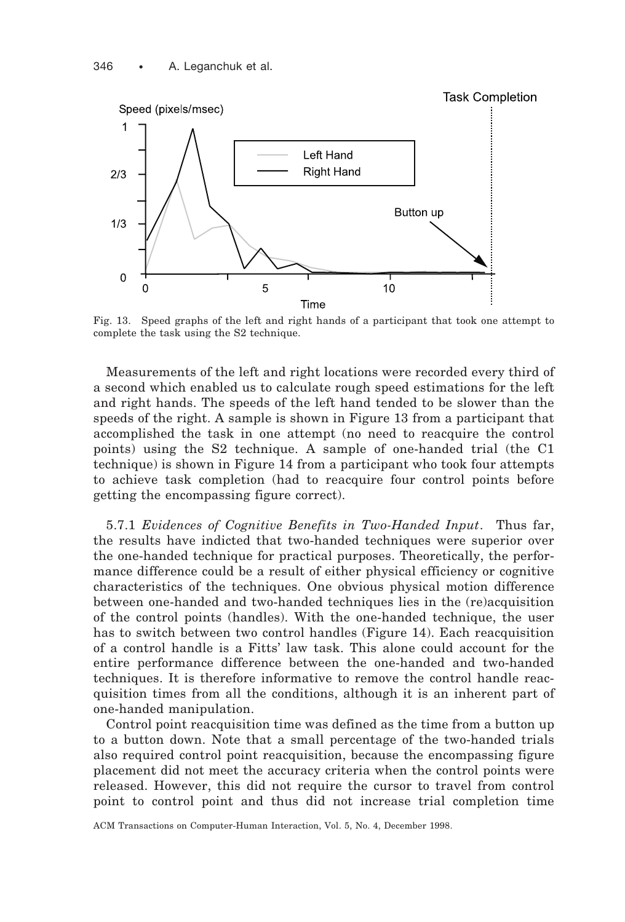

Fig. 13. Speed graphs of the left and right hands of a participant that took one attempt to complete the task using the S2 technique.

Measurements of the left and right locations were recorded every third of a second which enabled us to calculate rough speed estimations for the left and right hands. The speeds of the left hand tended to be slower than the speeds of the right. A sample is shown in Figure 13 from a participant that accomplished the task in one attempt (no need to reacquire the control points) using the S2 technique. A sample of one-handed trial (the C1 technique) is shown in Figure 14 from a participant who took four attempts to achieve task completion (had to reacquire four control points before getting the encompassing figure correct).

5.7.1 *Evidences of Cognitive Benefits in Two-Handed Input*. Thus far, the results have indicted that two-handed techniques were superior over the one-handed technique for practical purposes. Theoretically, the performance difference could be a result of either physical efficiency or cognitive characteristics of the techniques. One obvious physical motion difference between one-handed and two-handed techniques lies in the (re)acquisition of the control points (handles). With the one-handed technique, the user has to switch between two control handles (Figure 14). Each reacquisition of a control handle is a Fitts' law task. This alone could account for the entire performance difference between the one-handed and two-handed techniques. It is therefore informative to remove the control handle reacquisition times from all the conditions, although it is an inherent part of one-handed manipulation.

Control point reacquisition time was defined as the time from a button up to a button down. Note that a small percentage of the two-handed trials also required control point reacquisition, because the encompassing figure placement did not meet the accuracy criteria when the control points were released. However, this did not require the cursor to travel from control point to control point and thus did not increase trial completion time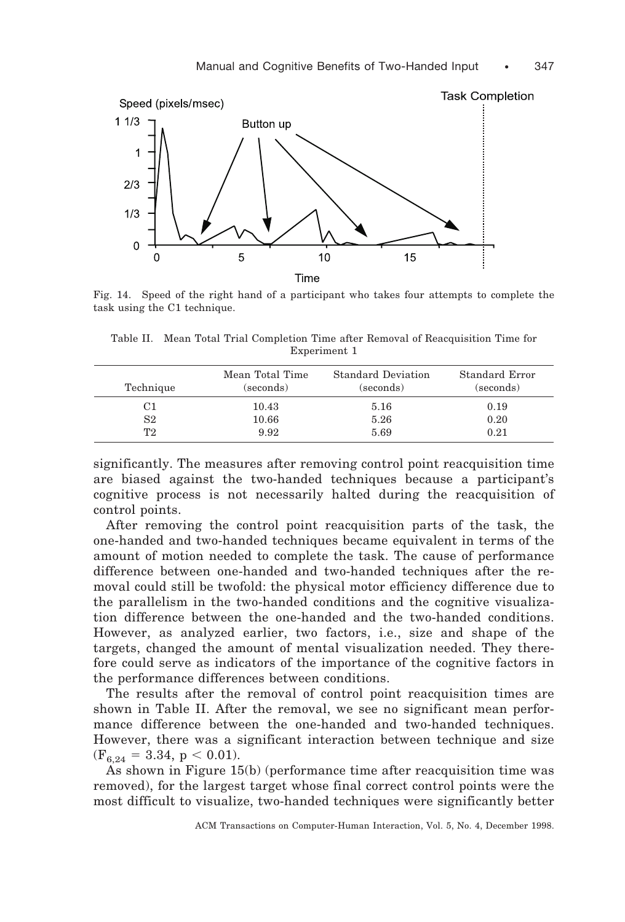

Fig. 14. Speed of the right hand of a participant who takes four attempts to complete the task using the C1 technique.

Table II. Mean Total Trial Completion Time after Removal of Reacquisition Time for Experiment 1

| Technique                              | Mean Total Time<br>(seconds) | <b>Standard Deviation</b><br>(seconds) | Standard Error<br>(seconds) |
|----------------------------------------|------------------------------|----------------------------------------|-----------------------------|
| C1<br>S <sub>2</sub><br>T <sub>2</sub> | 10.43<br>10.66               | 5.16<br>5.26                           | 0.19<br>0.20                |
|                                        | 9.92                         | 5.69                                   | 0.21                        |

significantly. The measures after removing control point reacquisition time are biased against the two-handed techniques because a participant's cognitive process is not necessarily halted during the reacquisition of control points.

After removing the control point reacquisition parts of the task, the one-handed and two-handed techniques became equivalent in terms of the amount of motion needed to complete the task. The cause of performance difference between one-handed and two-handed techniques after the removal could still be twofold: the physical motor efficiency difference due to the parallelism in the two-handed conditions and the cognitive visualization difference between the one-handed and the two-handed conditions. However, as analyzed earlier, two factors, i.e., size and shape of the targets, changed the amount of mental visualization needed. They therefore could serve as indicators of the importance of the cognitive factors in the performance differences between conditions.

The results after the removal of control point reacquisition times are shown in Table II. After the removal, we see no significant mean performance difference between the one-handed and two-handed techniques. However, there was a significant interaction between technique and size  $(F_{6,24} = 3.34, p < 0.01).$ 

As shown in Figure 15(b) (performance time after reacquisition time was removed), for the largest target whose final correct control points were the most difficult to visualize, two-handed techniques were significantly better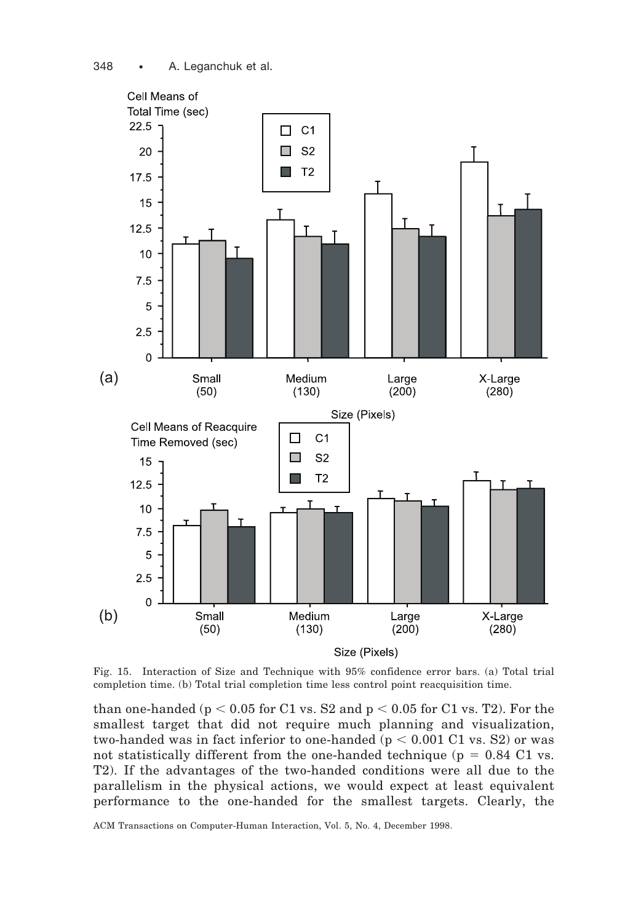

Fig. 15. Interaction of Size and Technique with 95% confidence error bars. (a) Total trial completion time. (b) Total trial completion time less control point reacquisition time.

than one-handed ( $p < 0.05$  for C1 vs. S2 and  $p < 0.05$  for C1 vs. T2). For the smallest target that did not require much planning and visualization, two-handed was in fact inferior to one-handed ( $p < 0.001$  C1 vs. S2) or was not statistically different from the one-handed technique ( $p = 0.84$  C1 vs. T2). If the advantages of the two-handed conditions were all due to the parallelism in the physical actions, we would expect at least equivalent performance to the one-handed for the smallest targets. Clearly, the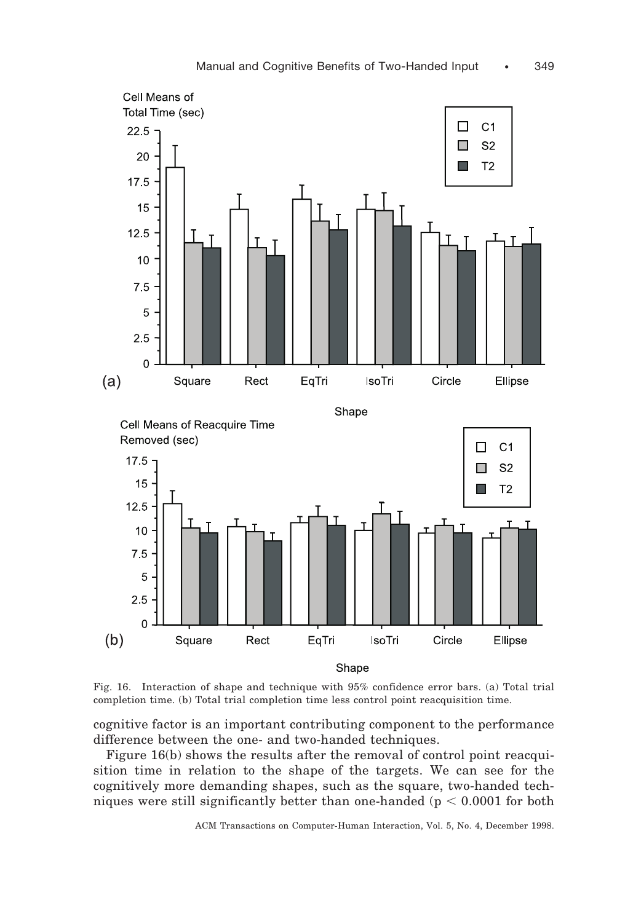

Fig. 16. Interaction of shape and technique with 95% confidence error bars. (a) Total trial completion time. (b) Total trial completion time less control point reacquisition time.

cognitive factor is an important contributing component to the performance difference between the one- and two-handed techniques.

Figure 16(b) shows the results after the removal of control point reacquisition time in relation to the shape of the targets. We can see for the cognitively more demanding shapes, such as the square, two-handed techniques were still significantly better than one-handed ( $p < 0.0001$  for both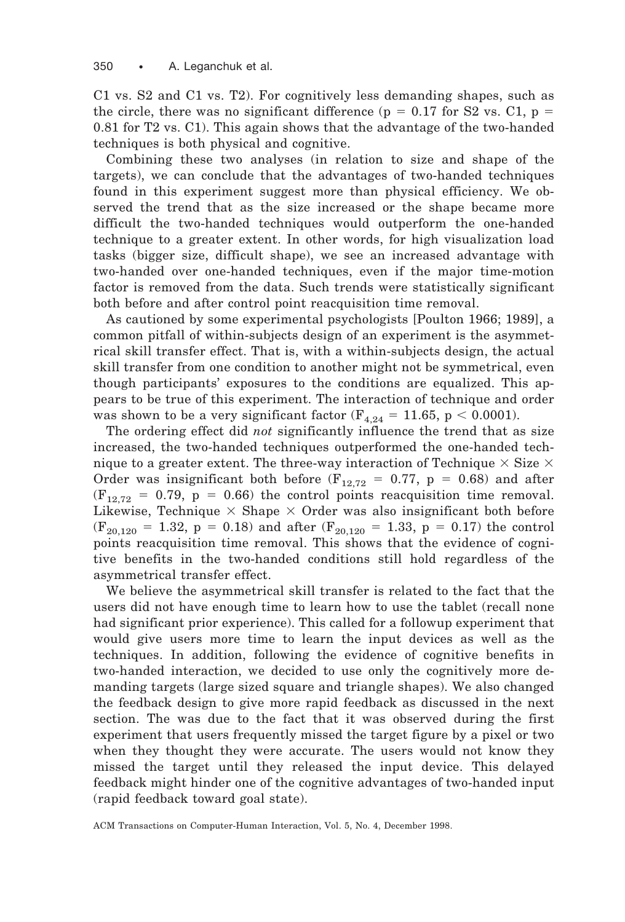C1 vs. S2 and C1 vs. T2). For cognitively less demanding shapes, such as the circle, there was no significant difference ( $p = 0.17$  for S2 vs. C1,  $p =$ 0.81 for T2 vs. C1). This again shows that the advantage of the two-handed techniques is both physical and cognitive.

Combining these two analyses (in relation to size and shape of the targets), we can conclude that the advantages of two-handed techniques found in this experiment suggest more than physical efficiency. We observed the trend that as the size increased or the shape became more difficult the two-handed techniques would outperform the one-handed technique to a greater extent. In other words, for high visualization load tasks (bigger size, difficult shape), we see an increased advantage with two-handed over one-handed techniques, even if the major time-motion factor is removed from the data. Such trends were statistically significant both before and after control point reacquisition time removal.

As cautioned by some experimental psychologists [Poulton 1966; 1989], a common pitfall of within-subjects design of an experiment is the asymmetrical skill transfer effect. That is, with a within-subjects design, the actual skill transfer from one condition to another might not be symmetrical, even though participants' exposures to the conditions are equalized. This appears to be true of this experiment. The interaction of technique and order was shown to be a very significant factor ( $F_{4,24} = 11.65$ , p < 0.0001).

The ordering effect did *not* significantly influence the trend that as size increased, the two-handed techniques outperformed the one-handed technique to a greater extent. The three-way interaction of Technique  $\times$  Size  $\times$ Order was insignificant both before ( $F_{12,72} = 0.77$ , p = 0.68) and after  $(F_{12,72} = 0.79, p = 0.66)$  the control points reacquisition time removal. Likewise, Technique  $\times$  Shape  $\times$  Order was also insignificant both before  $(F_{20.120} = 1.32, p = 0.18)$  and after  $(F_{20.120} = 1.33, p = 0.17)$  the control points reacquisition time removal. This shows that the evidence of cognitive benefits in the two-handed conditions still hold regardless of the asymmetrical transfer effect.

We believe the asymmetrical skill transfer is related to the fact that the users did not have enough time to learn how to use the tablet (recall none had significant prior experience). This called for a followup experiment that would give users more time to learn the input devices as well as the techniques. In addition, following the evidence of cognitive benefits in two-handed interaction, we decided to use only the cognitively more demanding targets (large sized square and triangle shapes). We also changed the feedback design to give more rapid feedback as discussed in the next section. The was due to the fact that it was observed during the first experiment that users frequently missed the target figure by a pixel or two when they thought they were accurate. The users would not know they missed the target until they released the input device. This delayed feedback might hinder one of the cognitive advantages of two-handed input (rapid feedback toward goal state).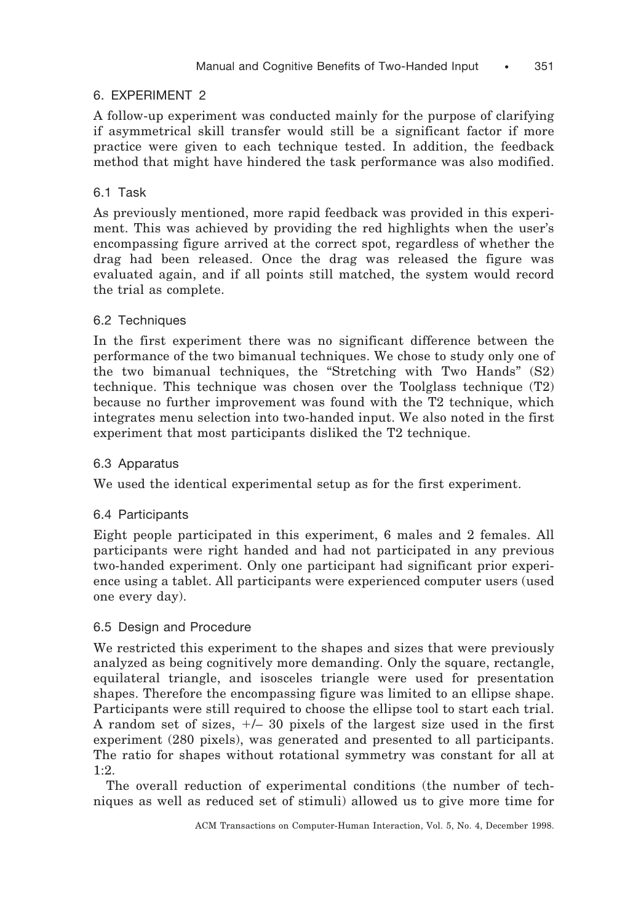# 6. EXPERIMENT 2

A follow-up experiment was conducted mainly for the purpose of clarifying if asymmetrical skill transfer would still be a significant factor if more practice were given to each technique tested. In addition, the feedback method that might have hindered the task performance was also modified.

# 6.1 Task

As previously mentioned, more rapid feedback was provided in this experiment. This was achieved by providing the red highlights when the user's encompassing figure arrived at the correct spot, regardless of whether the drag had been released. Once the drag was released the figure was evaluated again, and if all points still matched, the system would record the trial as complete.

# 6.2 Techniques

In the first experiment there was no significant difference between the performance of the two bimanual techniques. We chose to study only one of the two bimanual techniques, the "Stretching with Two Hands" (S2) technique. This technique was chosen over the Toolglass technique (T2) because no further improvement was found with the T2 technique, which integrates menu selection into two-handed input. We also noted in the first experiment that most participants disliked the T2 technique.

# 6.3 Apparatus

We used the identical experimental setup as for the first experiment.

# 6.4 Participants

Eight people participated in this experiment, 6 males and 2 females. All participants were right handed and had not participated in any previous two-handed experiment. Only one participant had significant prior experience using a tablet. All participants were experienced computer users (used one every day).

# 6.5 Design and Procedure

We restricted this experiment to the shapes and sizes that were previously analyzed as being cognitively more demanding. Only the square, rectangle, equilateral triangle, and isosceles triangle were used for presentation shapes. Therefore the encompassing figure was limited to an ellipse shape. Participants were still required to choose the ellipse tool to start each trial. A random set of sizes,  $+/-$  30 pixels of the largest size used in the first experiment (280 pixels), was generated and presented to all participants. The ratio for shapes without rotational symmetry was constant for all at 1:2.

The overall reduction of experimental conditions (the number of techniques as well as reduced set of stimuli) allowed us to give more time for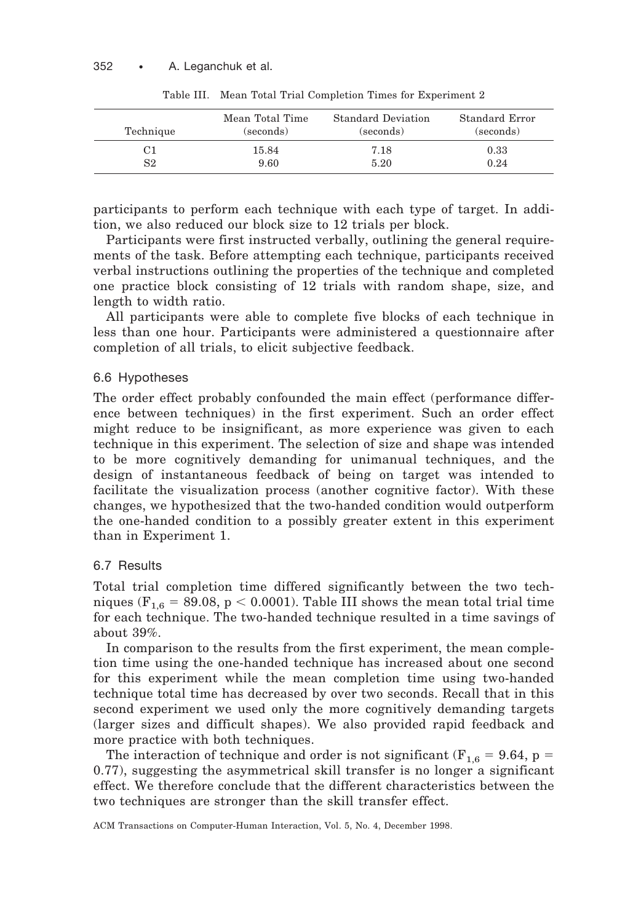#### 352 • A. Leganchuk et al.

| Technique | Mean Total Time<br>(seconds) | <b>Standard Deviation</b><br>(seconds) | Standard Error<br>(seconds) |
|-----------|------------------------------|----------------------------------------|-----------------------------|
| C1        | 15.84                        | 7.18                                   | 0.33                        |
| S2        | 9.60                         | 5.20                                   | 0.24                        |

Table III. Mean Total Trial Completion Times for Experiment 2

participants to perform each technique with each type of target. In addition, we also reduced our block size to 12 trials per block.

Participants were first instructed verbally, outlining the general requirements of the task. Before attempting each technique, participants received verbal instructions outlining the properties of the technique and completed one practice block consisting of 12 trials with random shape, size, and length to width ratio.

All participants were able to complete five blocks of each technique in less than one hour. Participants were administered a questionnaire after completion of all trials, to elicit subjective feedback.

# 6.6 Hypotheses

The order effect probably confounded the main effect (performance difference between techniques) in the first experiment. Such an order effect might reduce to be insignificant, as more experience was given to each technique in this experiment. The selection of size and shape was intended to be more cognitively demanding for unimanual techniques, and the design of instantaneous feedback of being on target was intended to facilitate the visualization process (another cognitive factor). With these changes, we hypothesized that the two-handed condition would outperform the one-handed condition to a possibly greater extent in this experiment than in Experiment 1.

# 6.7 Results

Total trial completion time differed significantly between the two techniques ( $F_{1,6}$  = 89.08, p < 0.0001). Table III shows the mean total trial time for each technique. The two-handed technique resulted in a time savings of about 39%.

In comparison to the results from the first experiment, the mean completion time using the one-handed technique has increased about one second for this experiment while the mean completion time using two-handed technique total time has decreased by over two seconds. Recall that in this second experiment we used only the more cognitively demanding targets (larger sizes and difficult shapes). We also provided rapid feedback and more practice with both techniques.

The interaction of technique and order is not significant ( $F_{1,6}$  = 9.64, p = 0.77), suggesting the asymmetrical skill transfer is no longer a significant effect. We therefore conclude that the different characteristics between the two techniques are stronger than the skill transfer effect.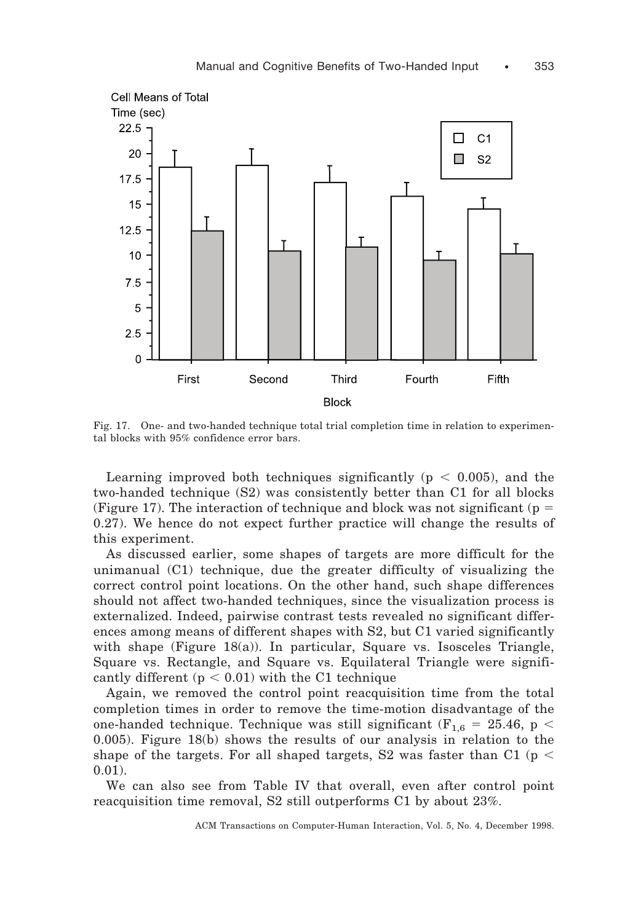

Fig. 17. One- and two-handed technique total trial completion time in relation to experimental blocks with 95% confidence error bars.

Learning improved both techniques significantly ( $p < 0.005$ ), and the two-handed technique (S2) was consistently better than C1 for all blocks (Figure 17). The interaction of technique and block was not significant ( $p =$ 0.27). We hence do not expect further practice will change the results of this experiment.

As discussed earlier, some shapes of targets are more difficult for the unimanual (C1) technique, due the greater difficulty of visualizing the correct control point locations. On the other hand, such shape differences should not affect two-handed techniques, since the visualization process is externalized. Indeed, pairwise contrast tests revealed no significant differences among means of different shapes with S2, but C1 varied significantly with shape (Figure 18(a)). In particular, Square vs. Isosceles Triangle, Square vs. Rectangle, and Square vs. Equilateral Triangle were significantly different  $(p < 0.01)$  with the C1 technique

Again, we removed the control point reacquisition time from the total completion times in order to remove the time-motion disadvantage of the one-handed technique. Technique was still significant ( $F_{1,6} = 25.46, p <$ 0.005). Figure 18(b) shows the results of our analysis in relation to the shape of the targets. For all shaped targets, S2 was faster than C1 (p  $\lt$ 0.01).

We can also see from Table IV that overall, even after control point reacquisition time removal, S2 still outperforms C1 by about 23%.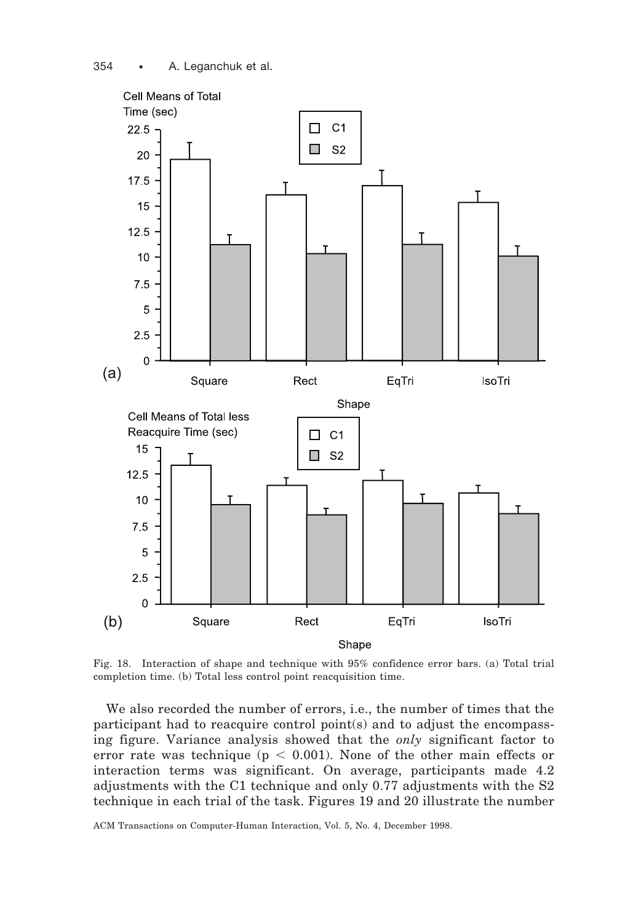

Fig. 18. Interaction of shape and technique with 95% confidence error bars. (a) Total trial completion time. (b) Total less control point reacquisition time.

We also recorded the number of errors, i.e., the number of times that the participant had to reacquire control point(s) and to adjust the encompassing figure. Variance analysis showed that the *only* significant factor to error rate was technique ( $p < 0.001$ ). None of the other main effects or interaction terms was significant. On average, participants made 4.2 adjustments with the C1 technique and only 0.77 adjustments with the S2 technique in each trial of the task. Figures 19 and 20 illustrate the number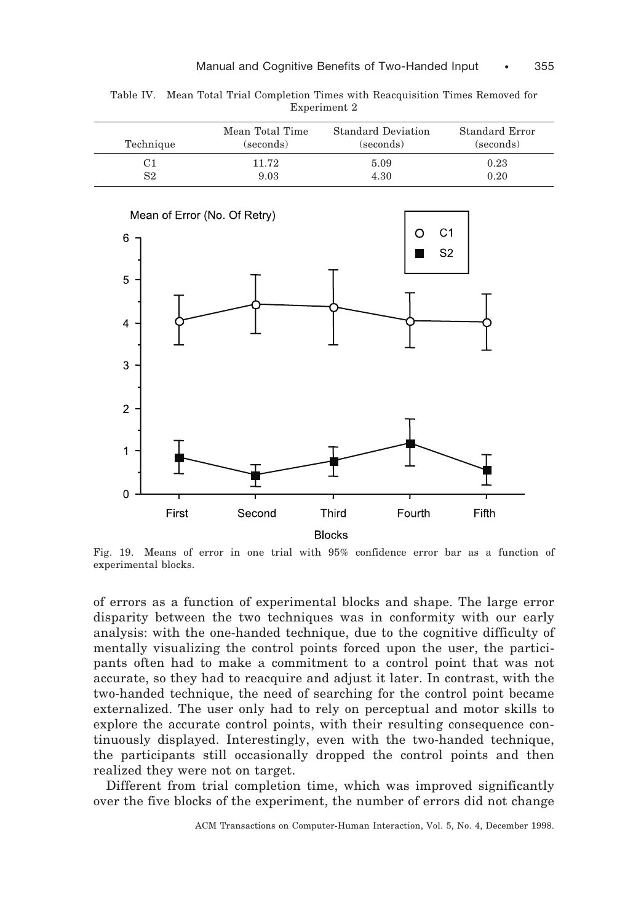| Technique | Mean Total Time<br>(seconds) | <b>Standard Deviation</b><br>(seconds) | Standard Error<br>(seconds) |
|-----------|------------------------------|----------------------------------------|-----------------------------|
| C1        | 11.72                        | 5.09                                   | 0.23                        |
| 82        | 9.03                         | 4.30                                   | 0.20                        |

Table IV. Mean Total Trial Completion Times with Reacquisition Times Removed for Experiment 2



Fig. 19. Means of error in one trial with 95% confidence error bar as a function of experimental blocks.

of errors as a function of experimental blocks and shape. The large error disparity between the two techniques was in conformity with our early analysis: with the one-handed technique, due to the cognitive difficulty of mentally visualizing the control points forced upon the user, the participants often had to make a commitment to a control point that was not accurate, so they had to reacquire and adjust it later. In contrast, with the two-handed technique, the need of searching for the control point became externalized. The user only had to rely on perceptual and motor skills to explore the accurate control points, with their resulting consequence continuously displayed. Interestingly, even with the two-handed technique, the participants still occasionally dropped the control points and then realized they were not on target.

Different from trial completion time, which was improved significantly over the five blocks of the experiment, the number of errors did not change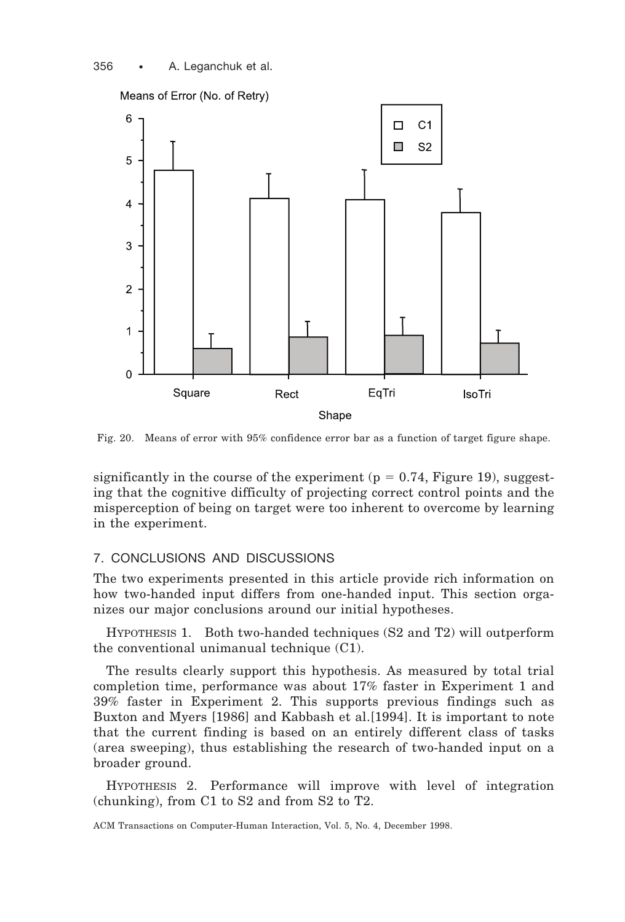

Fig. 20. Means of error with 95% confidence error bar as a function of target figure shape.

significantly in the course of the experiment ( $p = 0.74$ , Figure 19), suggesting that the cognitive difficulty of projecting correct control points and the misperception of being on target were too inherent to overcome by learning in the experiment.

# 7. CONCLUSIONS AND DISCUSSIONS

The two experiments presented in this article provide rich information on how two-handed input differs from one-handed input. This section organizes our major conclusions around our initial hypotheses.

HYPOTHESIS 1. Both two-handed techniques (S2 and T2) will outperform the conventional unimanual technique (C1).

The results clearly support this hypothesis. As measured by total trial completion time, performance was about 17% faster in Experiment 1 and 39% faster in Experiment 2. This supports previous findings such as Buxton and Myers [1986] and Kabbash et al.[1994]. It is important to note that the current finding is based on an entirely different class of tasks (area sweeping), thus establishing the research of two-handed input on a broader ground.

HYPOTHESIS 2. Performance will improve with level of integration (chunking), from C1 to S2 and from S2 to T2.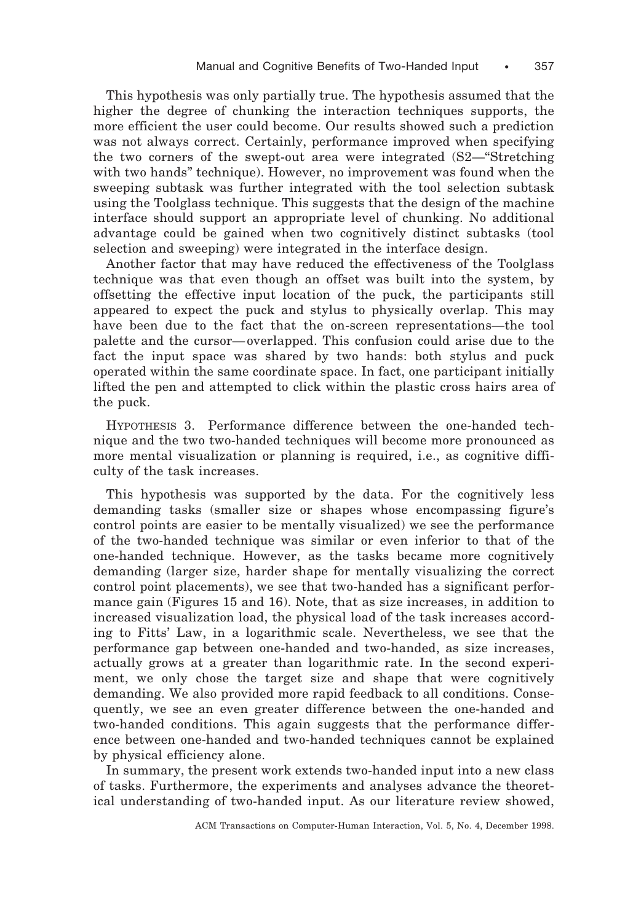This hypothesis was only partially true. The hypothesis assumed that the higher the degree of chunking the interaction techniques supports, the more efficient the user could become. Our results showed such a prediction was not always correct. Certainly, performance improved when specifying the two corners of the swept-out area were integrated (S2—"Stretching with two hands" technique). However, no improvement was found when the sweeping subtask was further integrated with the tool selection subtask using the Toolglass technique. This suggests that the design of the machine interface should support an appropriate level of chunking. No additional advantage could be gained when two cognitively distinct subtasks (tool selection and sweeping) were integrated in the interface design.

Another factor that may have reduced the effectiveness of the Toolglass technique was that even though an offset was built into the system, by offsetting the effective input location of the puck, the participants still appeared to expect the puck and stylus to physically overlap. This may have been due to the fact that the on-screen representations—the tool palette and the cursor—overlapped. This confusion could arise due to the fact the input space was shared by two hands: both stylus and puck operated within the same coordinate space. In fact, one participant initially lifted the pen and attempted to click within the plastic cross hairs area of the puck.

HYPOTHESIS 3. Performance difference between the one-handed technique and the two two-handed techniques will become more pronounced as more mental visualization or planning is required, i.e., as cognitive difficulty of the task increases.

This hypothesis was supported by the data. For the cognitively less demanding tasks (smaller size or shapes whose encompassing figure's control points are easier to be mentally visualized) we see the performance of the two-handed technique was similar or even inferior to that of the one-handed technique. However, as the tasks became more cognitively demanding (larger size, harder shape for mentally visualizing the correct control point placements), we see that two-handed has a significant performance gain (Figures 15 and 16). Note, that as size increases, in addition to increased visualization load, the physical load of the task increases according to Fitts' Law, in a logarithmic scale. Nevertheless, we see that the performance gap between one-handed and two-handed, as size increases, actually grows at a greater than logarithmic rate. In the second experiment, we only chose the target size and shape that were cognitively demanding. We also provided more rapid feedback to all conditions. Consequently, we see an even greater difference between the one-handed and two-handed conditions. This again suggests that the performance difference between one-handed and two-handed techniques cannot be explained by physical efficiency alone.

In summary, the present work extends two-handed input into a new class of tasks. Furthermore, the experiments and analyses advance the theoretical understanding of two-handed input. As our literature review showed,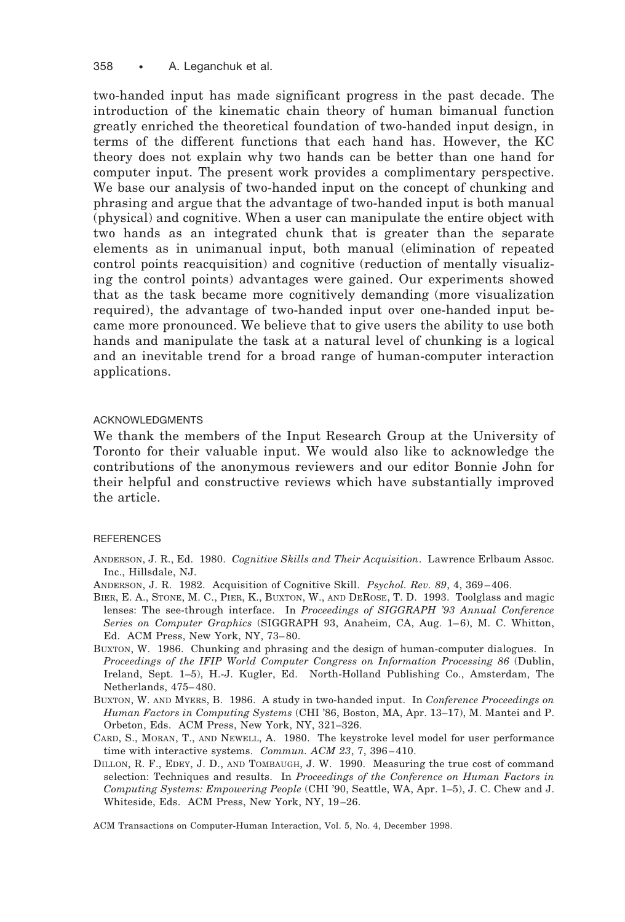#### 358 • A. Leganchuk et al.

two-handed input has made significant progress in the past decade. The introduction of the kinematic chain theory of human bimanual function greatly enriched the theoretical foundation of two-handed input design, in terms of the different functions that each hand has. However, the KC theory does not explain why two hands can be better than one hand for computer input. The present work provides a complimentary perspective. We base our analysis of two-handed input on the concept of chunking and phrasing and argue that the advantage of two-handed input is both manual (physical) and cognitive. When a user can manipulate the entire object with two hands as an integrated chunk that is greater than the separate elements as in unimanual input, both manual (elimination of repeated control points reacquisition) and cognitive (reduction of mentally visualizing the control points) advantages were gained. Our experiments showed that as the task became more cognitively demanding (more visualization required), the advantage of two-handed input over one-handed input became more pronounced. We believe that to give users the ability to use both hands and manipulate the task at a natural level of chunking is a logical and an inevitable trend for a broad range of human-computer interaction applications.

### ACKNOWLEDGMENTS

We thank the members of the Input Research Group at the University of Toronto for their valuable input. We would also like to acknowledge the contributions of the anonymous reviewers and our editor Bonnie John for their helpful and constructive reviews which have substantially improved the article.

#### **REFERENCES**

- ANDERSON, J. R., Ed. 1980. *Cognitive Skills and Their Acquisition*. Lawrence Erlbaum Assoc. Inc., Hillsdale, NJ.
- ANDERSON, J. R. 1982. Acquisition of Cognitive Skill. *Psychol. Rev. 89*, 4, 369–406.
- BIER, E. A., STONE, M. C., PIER, K., BUXTON, W., AND DEROSE, T. D. 1993. Toolglass and magic lenses: The see-through interface. In *Proceedings of SIGGRAPH '93 Annual Conference Series on Computer Graphics* (SIGGRAPH 93, Anaheim, CA, Aug. 1–6), M. C. Whitton, Ed. ACM Press, New York, NY, 73–80.
- BUXTON, W. 1986. Chunking and phrasing and the design of human-computer dialogues. In *Proceedings of the IFIP World Computer Congress on Information Processing 86* (Dublin, Ireland, Sept. 1–5), H.-J. Kugler, Ed. North-Holland Publishing Co., Amsterdam, The Netherlands, 475–480.
- BUXTON, W. AND MYERS, B. 1986. A study in two-handed input. In *Conference Proceedings on Human Factors in Computing Systems* (CHI '86, Boston, MA, Apr. 13–17), M. Mantei and P. Orbeton, Eds. ACM Press, New York, NY, 321–326.
- CARD, S., MORAN, T., AND NEWELL, A. 1980. The keystroke level model for user performance time with interactive systems. *Commun. ACM 23*, 7, 396–410.
- DILLON, R. F., EDEY, J. D., AND TOMBAUGH, J. W. 1990. Measuring the true cost of command selection: Techniques and results. In *Proceedings of the Conference on Human Factors in Computing Systems: Empowering People* (CHI '90, Seattle, WA, Apr. 1–5), J. C. Chew and J. Whiteside, Eds. ACM Press, New York, NY, 19–26.